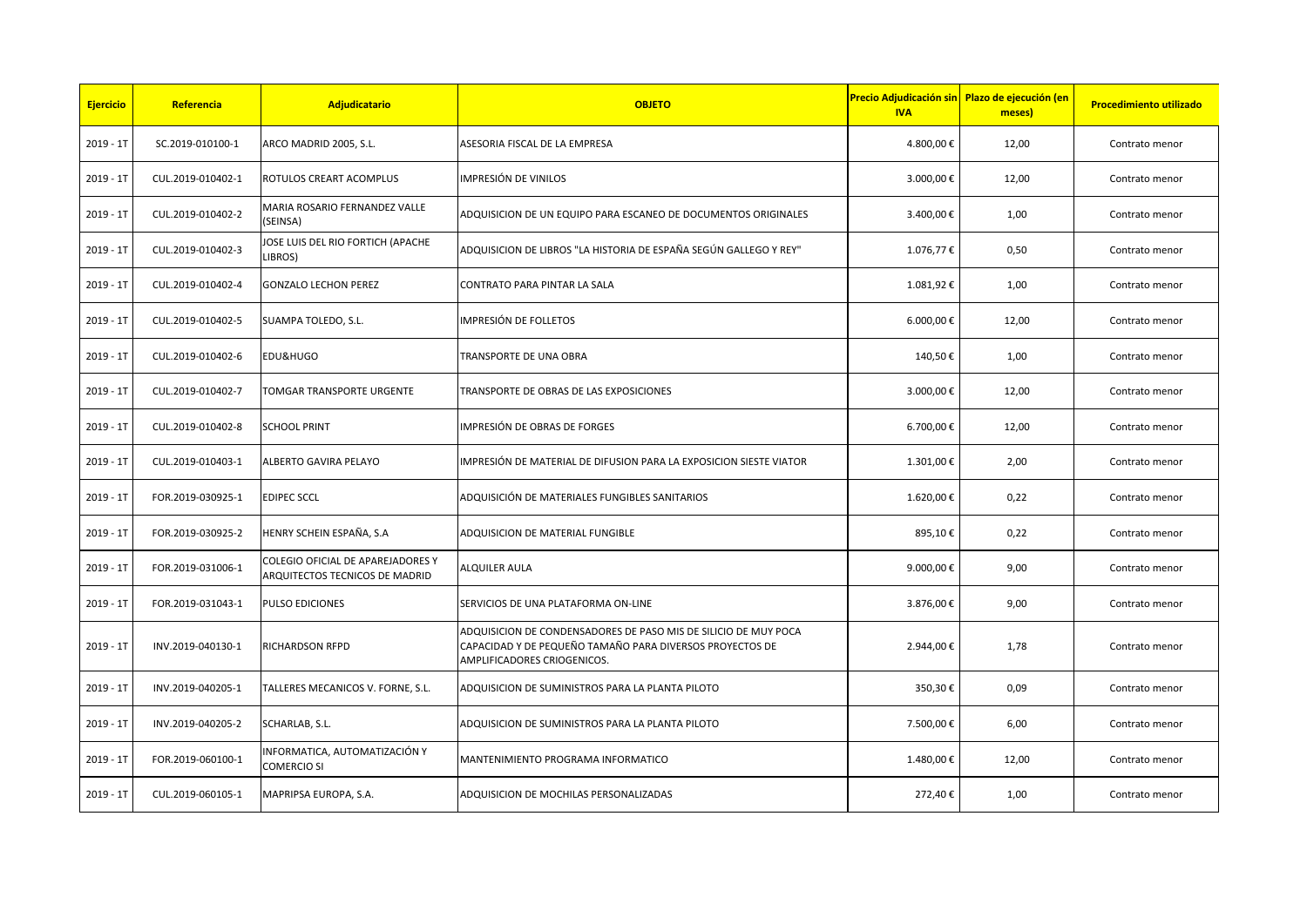| <b>Ejercicio</b> | Referencia        | Adjudicatario                                                       | <b>OBJETO</b>                                                                                                                                              | <b>IVA</b> | Precio Adjudicación sin Plazo de ejecución (en<br>meses) | <b>Procedimiento utilizado</b> |
|------------------|-------------------|---------------------------------------------------------------------|------------------------------------------------------------------------------------------------------------------------------------------------------------|------------|----------------------------------------------------------|--------------------------------|
| $2019 - 1T$      | SC.2019-010100-1  | ARCO MADRID 2005, S.L.                                              | ASESORIA FISCAL DE LA EMPRESA                                                                                                                              | 4.800,00€  | 12,00                                                    | Contrato menor                 |
| 2019 - 1T        | CUL.2019-010402-1 | <b>ROTULOS CREART ACOMPLUS</b>                                      | IMPRESIÓN DE VINILOS                                                                                                                                       | 3.000,00€  | 12,00                                                    | Contrato menor                 |
| $2019 - 1T$      | CUL.2019-010402-2 | MARIA ROSARIO FERNANDEZ VALLE<br>(SEINSA)                           | ADQUISICION DE UN EQUIPO PARA ESCANEO DE DOCUMENTOS ORIGINALES                                                                                             | 3.400,00€  | 1,00                                                     | Contrato menor                 |
| $2019 - 1T$      | CUL.2019-010402-3 | JOSE LUIS DEL RIO FORTICH (APACHE<br>LIBROS)                        | ADQUISICION DE LIBROS "LA HISTORIA DE ESPAÑA SEGÚN GALLEGO Y REY"                                                                                          | 1.076,77€  | 0,50                                                     | Contrato menor                 |
| $2019 - 1T$      | CUL.2019-010402-4 | <b>GONZALO LECHON PEREZ</b>                                         | CONTRATO PARA PINTAR LA SALA                                                                                                                               | 1.081,92€  | 1,00                                                     | Contrato menor                 |
| $2019 - 1T$      | CUL.2019-010402-5 | SUAMPA TOLEDO, S.L.                                                 | IMPRESIÓN DE FOLLETOS                                                                                                                                      | 6.000,00€  | 12,00                                                    | Contrato menor                 |
| 2019 - 1T        | CUL.2019-010402-6 | EDU&HUGO                                                            | TRANSPORTE DE UNA OBRA                                                                                                                                     | 140,50€    | 1,00                                                     | Contrato menor                 |
| $2019 - 1T$      | CUL.2019-010402-7 | TOMGAR TRANSPORTE URGENTE                                           | TRANSPORTE DE OBRAS DE LAS EXPOSICIONES                                                                                                                    | 3.000,00€  | 12,00                                                    | Contrato menor                 |
| $2019 - 1T$      | CUL.2019-010402-8 | <b>SCHOOL PRINT</b>                                                 | IMPRESIÓN DE OBRAS DE FORGES                                                                                                                               | 6.700,00€  | 12,00                                                    | Contrato menor                 |
| $2019 - 1T$      | CUL.2019-010403-1 | ALBERTO GAVIRA PELAYO                                               | IMPRESIÓN DE MATERIAL DE DIFUSION PARA LA EXPOSICION SIESTE VIATOR                                                                                         | 1.301,00€  | 2,00                                                     | Contrato menor                 |
| $2019 - 1T$      | FOR.2019-030925-1 | <b>EDIPEC SCCL</b>                                                  | ADQUISICIÓN DE MATERIALES FUNGIBLES SANITARIOS                                                                                                             | 1.620,00€  | 0,22                                                     | Contrato menor                 |
| $2019 - 1T$      | FOR.2019-030925-2 | HENRY SCHEIN ESPAÑA, S.A                                            | ADQUISICION DE MATERIAL FUNGIBLE                                                                                                                           | 895,10€    | 0,22                                                     | Contrato menor                 |
| $2019 - 1T$      | FOR.2019-031006-1 | COLEGIO OFICIAL DE APAREJADORES Y<br>ARQUITECTOS TECNICOS DE MADRID | <b>ALQUILER AULA</b>                                                                                                                                       | 9.000,00€  | 9,00                                                     | Contrato menor                 |
| $2019 - 1T$      | FOR.2019-031043-1 | PULSO EDICIONES                                                     | SERVICIOS DE UNA PLATAFORMA ON-LINE                                                                                                                        | 3.876,00€  | 9,00                                                     | Contrato menor                 |
| $2019 - 1T$      | INV.2019-040130-1 | <b>RICHARDSON RFPD</b>                                              | ADQUISICION DE CONDENSADORES DE PASO MIS DE SILICIO DE MUY POCA<br>CAPACIDAD Y DE PEQUEÑO TAMAÑO PARA DIVERSOS PROYECTOS DE<br>AMPLIFICADORES CRIOGENICOS. | 2.944,00€  | 1,78                                                     | Contrato menor                 |
| 2019 - 1T        | INV.2019-040205-1 | TALLERES MECANICOS V. FORNE, S.L.                                   | ADQUISICION DE SUMINISTROS PARA LA PLANTA PILOTO                                                                                                           | 350,30€    | 0,09                                                     | Contrato menor                 |
| 2019 - 1T        | INV.2019-040205-2 | SCHARLAB, S.L.                                                      | ADQUISICION DE SUMINISTROS PARA LA PLANTA PILOTO                                                                                                           | 7.500,00€  | 6,00                                                     | Contrato menor                 |
| $2019 - 1T$      | FOR.2019-060100-1 | INFORMATICA, AUTOMATIZACIÓN Y<br><b>COMERCIO SI</b>                 | MANTENIMIENTO PROGRAMA INFORMATICO                                                                                                                         | 1.480,00€  | 12,00                                                    | Contrato menor                 |
| $2019 - 1T$      | CUL.2019-060105-1 | MAPRIPSA EUROPA, S.A.                                               | ADQUISICION DE MOCHILAS PERSONALIZADAS                                                                                                                     | 272,40€    | 1,00                                                     | Contrato menor                 |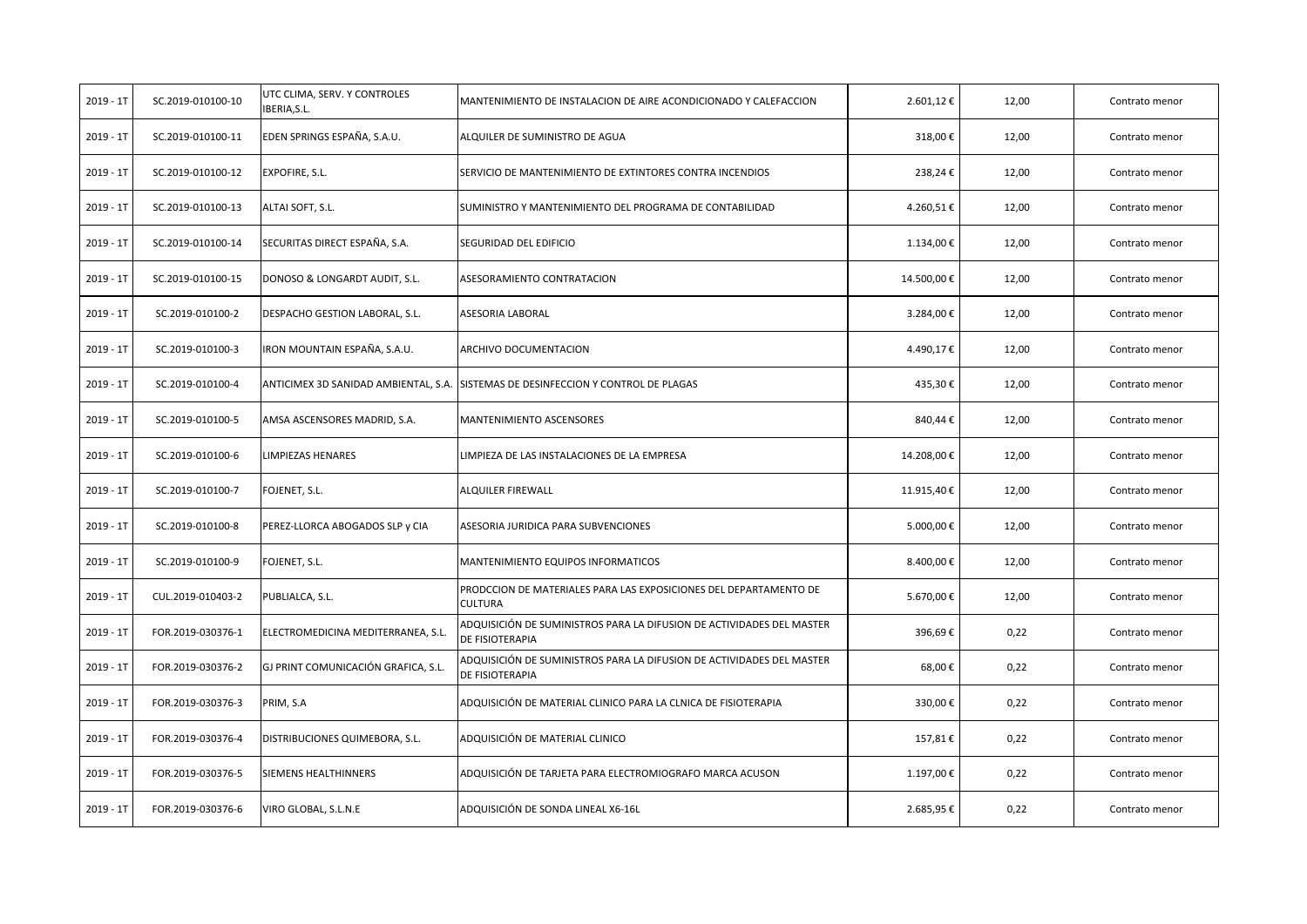| $2019 - 1T$ | SC.2019-010100-10 | UTC CLIMA, SERV. Y CONTROLES<br>IBERIA, S.L. | MANTENIMIENTO DE INSTALACION DE AIRE ACONDICIONADO Y CALEFACCION                         | 2.601,12€  | 12,00 | Contrato menor |
|-------------|-------------------|----------------------------------------------|------------------------------------------------------------------------------------------|------------|-------|----------------|
| 2019 - 1T   | SC.2019-010100-11 | EDEN SPRINGS ESPAÑA, S.A.U.                  | ALQUILER DE SUMINISTRO DE AGUA                                                           | 318,00€    | 12,00 | Contrato menor |
| $2019 - 1T$ | SC.2019-010100-12 | EXPOFIRE, S.L.                               | SERVICIO DE MANTENIMIENTO DE EXTINTORES CONTRA INCENDIOS                                 | 238,24€    | 12,00 | Contrato menor |
| $2019 - 1T$ | SC.2019-010100-13 | ALTAI SOFT, S.L.                             | SUMINISTRO Y MANTENIMIENTO DEL PROGRAMA DE CONTABILIDAD                                  | 4.260,51€  | 12,00 | Contrato menor |
| $2019 - 1T$ | SC.2019-010100-14 | SECURITAS DIRECT ESPAÑA, S.A.                | SEGURIDAD DEL EDIFICIO                                                                   | 1.134,00€  | 12,00 | Contrato menor |
| $2019 - 1T$ | SC.2019-010100-15 | DONOSO & LONGARDT AUDIT, S.L.                | ASESORAMIENTO CONTRATACION                                                               | 14.500,00€ | 12,00 | Contrato menor |
| 2019 - 1T   | SC.2019-010100-2  | DESPACHO GESTION LABORAL, S.L.               | ASESORIA LABORAL                                                                         | 3.284,00€  | 12,00 | Contrato menor |
| $2019 - 1T$ | SC.2019-010100-3  | IRON MOUNTAIN ESPAÑA, S.A.U.                 | ARCHIVO DOCUMENTACION                                                                    | 4.490,17€  | 12,00 | Contrato menor |
| $2019 - 1T$ | SC.2019-010100-4  | ANTICIMEX 3D SANIDAD AMBIENTAL, S.A.         | SISTEMAS DE DESINFECCION Y CONTROL DE PLAGAS                                             | 435,30€    | 12,00 | Contrato menor |
| $2019 - 1T$ | SC.2019-010100-5  | AMSA ASCENSORES MADRID, S.A.                 | MANTENIMIENTO ASCENSORES                                                                 | 840,44€    | 12,00 | Contrato menor |
| $2019 - 1T$ | SC.2019-010100-6  | <b>LIMPIEZAS HENARES</b>                     | LIMPIEZA DE LAS INSTALACIONES DE LA EMPRESA                                              | 14.208,00€ | 12,00 | Contrato menor |
| $2019 - 1T$ | SC.2019-010100-7  | FOJENET, S.L.                                | ALQUILER FIREWALL                                                                        | 11.915,40€ | 12,00 | Contrato menor |
| $2019 - 1T$ | SC.2019-010100-8  | PEREZ-LLORCA ABOGADOS SLP y CIA              | ASESORIA JURIDICA PARA SUBVENCIONES                                                      | 5.000,00€  | 12,00 | Contrato menor |
| $2019 - 1T$ | SC.2019-010100-9  | FOJENET, S.L.                                | MANTENIMIENTO EQUIPOS INFORMATICOS                                                       | 8.400,00€  | 12,00 | Contrato menor |
| 2019 - 1T   | CUL.2019-010403-2 | PUBLIALCA, S.L.                              | PRODCCION DE MATERIALES PARA LAS EXPOSICIONES DEL DEPARTAMENTO DE<br><b>CULTURA</b>      | 5.670,00€  | 12,00 | Contrato menor |
| $2019 - 1T$ | FOR.2019-030376-1 | ELECTROMEDICINA MEDITERRANEA, S.L.           | ADQUISICIÓN DE SUMINISTROS PARA LA DIFUSION DE ACTIVIDADES DEL MASTER<br>DE FISIOTERAPIA | 396,69€    | 0,22  | Contrato menor |
| 2019 - 1T   | FOR.2019-030376-2 | GJ PRINT COMUNICACIÓN GRAFICA, S.L.          | ADQUISICIÓN DE SUMINISTROS PARA LA DIFUSION DE ACTIVIDADES DEL MASTER<br>DE FISIOTERAPIA | 68,00€     | 0,22  | Contrato menor |
| $2019 - 1T$ | FOR.2019-030376-3 | PRIM, S.A                                    | ADQUISICIÓN DE MATERIAL CLINICO PARA LA CLNICA DE FISIOTERAPIA                           | 330,00€    | 0,22  | Contrato menor |
| $2019 - 1T$ | FOR.2019-030376-4 | DISTRIBUCIONES QUIMEBORA, S.L.               | ADQUISICIÓN DE MATERIAL CLINICO                                                          | 157,81€    | 0,22  | Contrato menor |
| 2019 - 1T   | FOR.2019-030376-5 | SIEMENS HEALTHINNERS                         | ADQUISICIÓN DE TARJETA PARA ELECTROMIOGRAFO MARCA ACUSON                                 | 1.197,00€  | 0,22  | Contrato menor |
| $2019 - 1T$ | FOR.2019-030376-6 | VIRO GLOBAL, S.L.N.E                         | ADQUISICIÓN DE SONDA LINEAL X6-16L                                                       | 2.685,95€  | 0,22  | Contrato menor |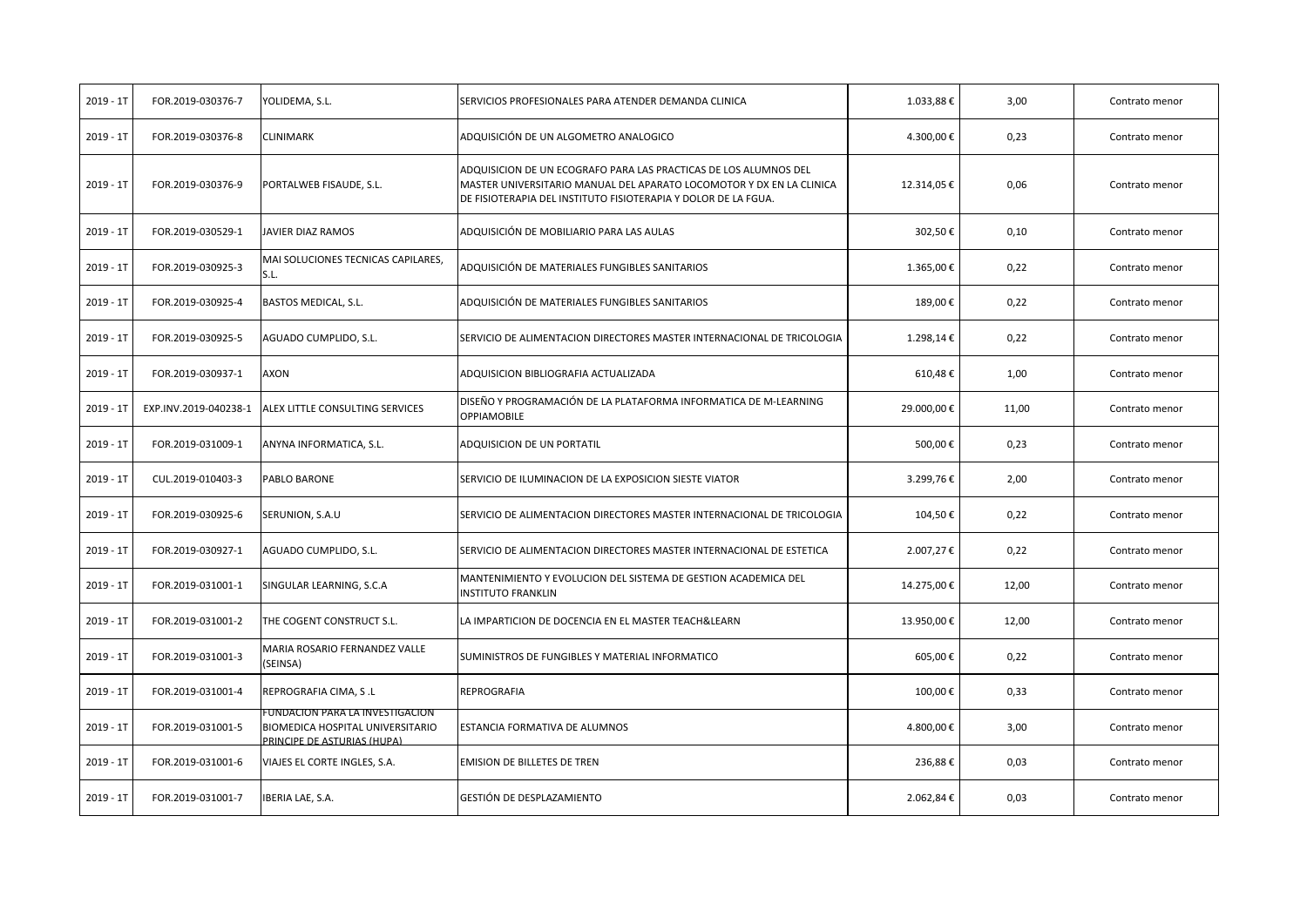| $2019 - 1T$ | FOR.2019-030376-7     | YOLIDEMA, S.L.                                                                                            | SERVICIOS PROFESIONALES PARA ATENDER DEMANDA CLINICA                                                                                                                                                       | 1.033,88€  | 3,00  | Contrato menor |
|-------------|-----------------------|-----------------------------------------------------------------------------------------------------------|------------------------------------------------------------------------------------------------------------------------------------------------------------------------------------------------------------|------------|-------|----------------|
| 2019 - 1T   | FOR.2019-030376-8     | <b>CLINIMARK</b>                                                                                          | ADQUISICIÓN DE UN ALGOMETRO ANALOGICO                                                                                                                                                                      | 4.300,00€  | 0,23  | Contrato menor |
| 2019 - 1T   | FOR.2019-030376-9     | PORTALWEB FISAUDE, S.L.                                                                                   | ADQUISICION DE UN ECOGRAFO PARA LAS PRACTICAS DE LOS ALUMNOS DEL<br>MASTER UNIVERSITARIO MANUAL DEL APARATO LOCOMOTOR Y DX EN LA CLINICA<br>DE FISIOTERAPIA DEL INSTITUTO FISIOTERAPIA Y DOLOR DE LA FGUA. | 12.314,05€ | 0,06  | Contrato menor |
| 2019 - 1T   | FOR.2019-030529-1     | JAVIER DIAZ RAMOS                                                                                         | ADQUISICIÓN DE MOBILIARIO PARA LAS AULAS                                                                                                                                                                   | 302,50€    | 0,10  | Contrato menor |
| 2019 - 1T   | FOR.2019-030925-3     | MAI SOLUCIONES TECNICAS CAPILARES,<br>S.L.                                                                | ADQUISICIÓN DE MATERIALES FUNGIBLES SANITARIOS                                                                                                                                                             | 1.365,00€  | 0,22  | Contrato menor |
| 2019 - 1T   | FOR.2019-030925-4     | BASTOS MEDICAL, S.L.                                                                                      | ADQUISICIÓN DE MATERIALES FUNGIBLES SANITARIOS                                                                                                                                                             | 189,00€    | 0,22  | Contrato menor |
| $2019 - 1T$ | FOR.2019-030925-5     | AGUADO CUMPLIDO, S.L.                                                                                     | SERVICIO DE ALIMENTACION DIRECTORES MASTER INTERNACIONAL DE TRICOLOGIA                                                                                                                                     | 1.298,14€  | 0,22  | Contrato menor |
| 2019 - 1T   | FOR.2019-030937-1     | <b>AXON</b>                                                                                               | ADQUISICION BIBLIOGRAFIA ACTUALIZADA                                                                                                                                                                       | 610,48€    | 1,00  | Contrato menor |
| 2019 - 1T   | EXP.INV.2019-040238-1 | ALEX LITTLE CONSULTING SERVICES                                                                           | DISEÑO Y PROGRAMACIÓN DE LA PLATAFORMA INFORMATICA DE M-LEARNING<br>OPPIAMOBILE                                                                                                                            | 29.000,00€ | 11,00 | Contrato menor |
| 2019 - 1T   | FOR.2019-031009-1     | ANYNA INFORMATICA, S.L.                                                                                   | ADQUISICION DE UN PORTATIL                                                                                                                                                                                 | 500,00€    | 0,23  | Contrato menor |
| 2019 - 1T   | CUL.2019-010403-3     | PABLO BARONE                                                                                              | SERVICIO DE ILUMINACION DE LA EXPOSICION SIESTE VIATOR                                                                                                                                                     | 3.299,76€  | 2,00  | Contrato menor |
| 2019 - 1T   | FOR.2019-030925-6     | SERUNION, S.A.U                                                                                           | SERVICIO DE ALIMENTACION DIRECTORES MASTER INTERNACIONAL DE TRICOLOGIA                                                                                                                                     | 104,50€    | 0,22  | Contrato menor |
| 2019 - 1T   | FOR.2019-030927-1     | AGUADO CUMPLIDO, S.L.                                                                                     | SERVICIO DE ALIMENTACION DIRECTORES MASTER INTERNACIONAL DE ESTETICA                                                                                                                                       | 2.007,27€  | 0,22  | Contrato menor |
| 2019 - 1T   | FOR.2019-031001-1     | SINGULAR LEARNING, S.C.A                                                                                  | MANTENIMIENTO Y EVOLUCION DEL SISTEMA DE GESTION ACADEMICA DEL<br>INSTITUTO FRANKLIN                                                                                                                       | 14.275,00€ | 12,00 | Contrato menor |
| 2019 - 1T   | FOR.2019-031001-2     | THE COGENT CONSTRUCT S.L.                                                                                 | LA IMPARTICION DE DOCENCIA EN EL MASTER TEACH&LEARN                                                                                                                                                        | 13.950,00€ | 12,00 | Contrato menor |
| 2019 - 1T   | FOR.2019-031001-3     | MARIA ROSARIO FERNANDEZ VALLE<br>(SEINSA)                                                                 | SUMINISTROS DE FUNGIBLES Y MATERIAL INFORMATICO                                                                                                                                                            | 605,00€    | 0,22  | Contrato menor |
| 2019 - 1T   | FOR.2019-031001-4     | REPROGRAFIA CIMA, S.L                                                                                     | REPROGRAFIA                                                                                                                                                                                                | 100,00€    | 0,33  | Contrato menor |
| 2019 - 1T   | FOR.2019-031001-5     | FUNDACION PARA LA INVESTIGACION<br><b>BIOMEDICA HOSPITAL UNIVERSITARIO</b><br>PRINCIPE DE ASTURIAS (HUPA) | ESTANCIA FORMATIVA DE ALUMNOS                                                                                                                                                                              | 4.800,00€  | 3,00  | Contrato menor |
| 2019 - 1T   | FOR.2019-031001-6     | VIAJES EL CORTE INGLES, S.A.                                                                              | <b>EMISION DE BILLETES DE TREN</b>                                                                                                                                                                         | 236,88€    | 0,03  | Contrato menor |
| $2019 - 1T$ | FOR.2019-031001-7     | <b>IBERIA LAE, S.A.</b>                                                                                   | GESTIÓN DE DESPLAZAMIENTO                                                                                                                                                                                  | 2.062,84€  | 0,03  | Contrato menor |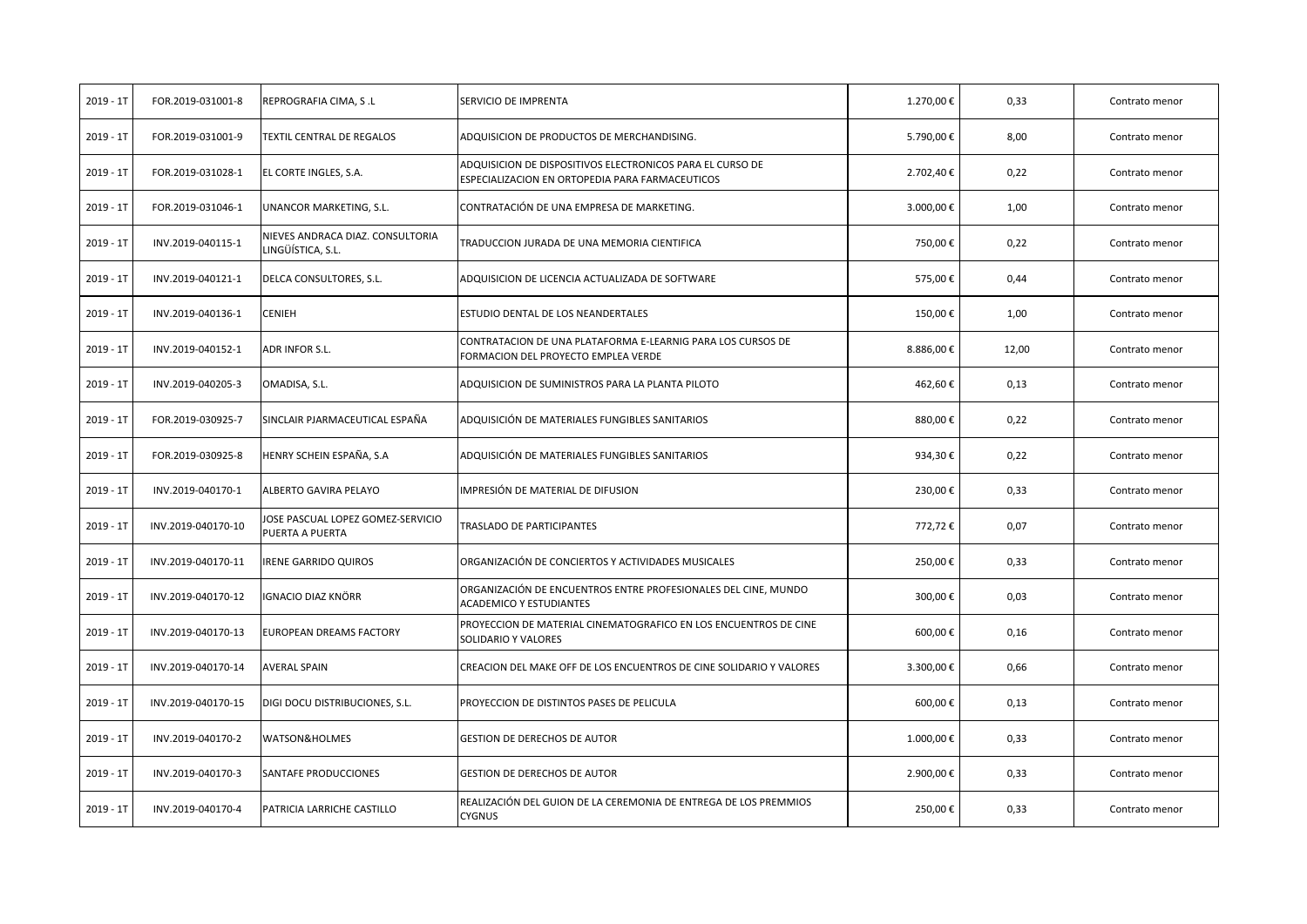| $2019 - 1T$ | FOR.2019-031001-8  | REPROGRAFIA CIMA, S.L                                 | SERVICIO DE IMPRENTA                                                                                         | 1.270,00€ | 0,33  | Contrato menor |
|-------------|--------------------|-------------------------------------------------------|--------------------------------------------------------------------------------------------------------------|-----------|-------|----------------|
| 2019 - 1T   | FOR.2019-031001-9  | TEXTIL CENTRAL DE REGALOS                             | ADQUISICION DE PRODUCTOS DE MERCHANDISING.                                                                   | 5.790,00€ | 8,00  | Contrato menor |
| 2019 - 1T   | FOR.2019-031028-1  | EL CORTE INGLES, S.A.                                 | ADQUISICION DE DISPOSITIVOS ELECTRONICOS PARA EL CURSO DE<br>ESPECIALIZACION EN ORTOPEDIA PARA FARMACEUTICOS | 2.702,40€ | 0,22  | Contrato menor |
| 2019 - 1T   | FOR.2019-031046-1  | UNANCOR MARKETING, S.L.                               | CONTRATACIÓN DE UNA EMPRESA DE MARKETING.                                                                    | 3.000,00€ | 1,00  | Contrato menor |
| 2019 - 1T   | INV.2019-040115-1  | NIEVES ANDRACA DIAZ. CONSULTORIA<br>LINGÜÍSTICA, S.L. | TRADUCCION JURADA DE UNA MEMORIA CIENTIFICA                                                                  | 750,00€   | 0,22  | Contrato menor |
| 2019 - 1T   | INV.2019-040121-1  | DELCA CONSULTORES, S.L.                               | ADQUISICION DE LICENCIA ACTUALIZADA DE SOFTWARE                                                              | 575,00€   | 0,44  | Contrato menor |
| 2019 - 1T   | INV.2019-040136-1  | <b>CENIEH</b>                                         | ESTUDIO DENTAL DE LOS NEANDERTALES                                                                           | 150,00€   | 1,00  | Contrato menor |
| 2019 - 1T   | INV.2019-040152-1  | ADR INFOR S.L.                                        | CONTRATACION DE UNA PLATAFORMA E-LEARNIG PARA LOS CURSOS DE<br>FORMACION DEL PROYECTO EMPLEA VERDE           | 8.886,00€ | 12,00 | Contrato menor |
| 2019 - 1T   | INV.2019-040205-3  | OMADISA, S.L.                                         | ADQUISICION DE SUMINISTROS PARA LA PLANTA PILOTO                                                             | 462,60€   | 0,13  | Contrato menor |
| 2019 - 1T   | FOR.2019-030925-7  | SINCLAIR PJARMACEUTICAL ESPAÑA                        | ADQUISICIÓN DE MATERIALES FUNGIBLES SANITARIOS                                                               | 880,00€   | 0,22  | Contrato menor |
| 2019 - 1T   | FOR.2019-030925-8  | HENRY SCHEIN ESPAÑA, S.A                              | ADQUISICIÓN DE MATERIALES FUNGIBLES SANITARIOS                                                               | 934,30€   | 0,22  | Contrato menor |
| 2019 - 1T   | INV.2019-040170-1  | ALBERTO GAVIRA PELAYO                                 | IMPRESIÓN DE MATERIAL DE DIFUSION                                                                            | 230,00€   | 0,33  | Contrato menor |
| 2019 - 1T   | INV.2019-040170-10 | JOSE PASCUAL LOPEZ GOMEZ-SERVICIO<br>PUERTA A PUERTA  | TRASLADO DE PARTICIPANTES                                                                                    | 772,72€   | 0,07  | Contrato menor |
| 2019 - 1T   | INV.2019-040170-11 | <b>IRENE GARRIDO QUIROS</b>                           | ORGANIZACIÓN DE CONCIERTOS Y ACTIVIDADES MUSICALES                                                           | 250,00€   | 0,33  | Contrato menor |
| 2019 - 1T   | INV.2019-040170-12 | <b>IGNACIO DIAZ KNÖRR</b>                             | ORGANIZACIÓN DE ENCUENTROS ENTRE PROFESIONALES DEL CINE, MUNDO<br><b>ACADEMICO Y ESTUDIANTES</b>             | 300,00€   | 0,03  | Contrato menor |
| 2019 - 1T   | INV.2019-040170-13 | <b>EUROPEAN DREAMS FACTORY</b>                        | PROYECCION DE MATERIAL CINEMATOGRAFICO EN LOS ENCUENTROS DE CINE<br>SOLIDARIO Y VALORES                      | 600,00€   | 0,16  | Contrato menor |
| 2019 - 1T   | INV.2019-040170-14 | <b>AVERAL SPAIN</b>                                   | CREACION DEL MAKE OFF DE LOS ENCUENTROS DE CINE SOLIDARIO Y VALORES                                          | 3.300,00€ | 0,66  | Contrato menor |
| 2019 - 1T   | INV.2019-040170-15 | DIGI DOCU DISTRIBUCIONES, S.L.                        | PROYECCION DE DISTINTOS PASES DE PELICULA                                                                    | 600,00€   | 0,13  | Contrato menor |
| 2019 - 1T   | INV.2019-040170-2  | WATSON&HOLMES                                         | <b>GESTION DE DERECHOS DE AUTOR</b>                                                                          | 1.000,00€ | 0,33  | Contrato menor |
| $2019 - 1T$ | INV.2019-040170-3  | SANTAFE PRODUCCIONES                                  | <b>GESTION DE DERECHOS DE AUTOR</b>                                                                          | 2.900,00€ | 0,33  | Contrato menor |
| 2019 - 1T   | INV.2019-040170-4  | PATRICIA LARRICHE CASTILLO                            | REALIZACIÓN DEL GUION DE LA CEREMONIA DE ENTREGA DE LOS PREMMIOS<br><b>CYGNUS</b>                            | 250,00€   | 0,33  | Contrato menor |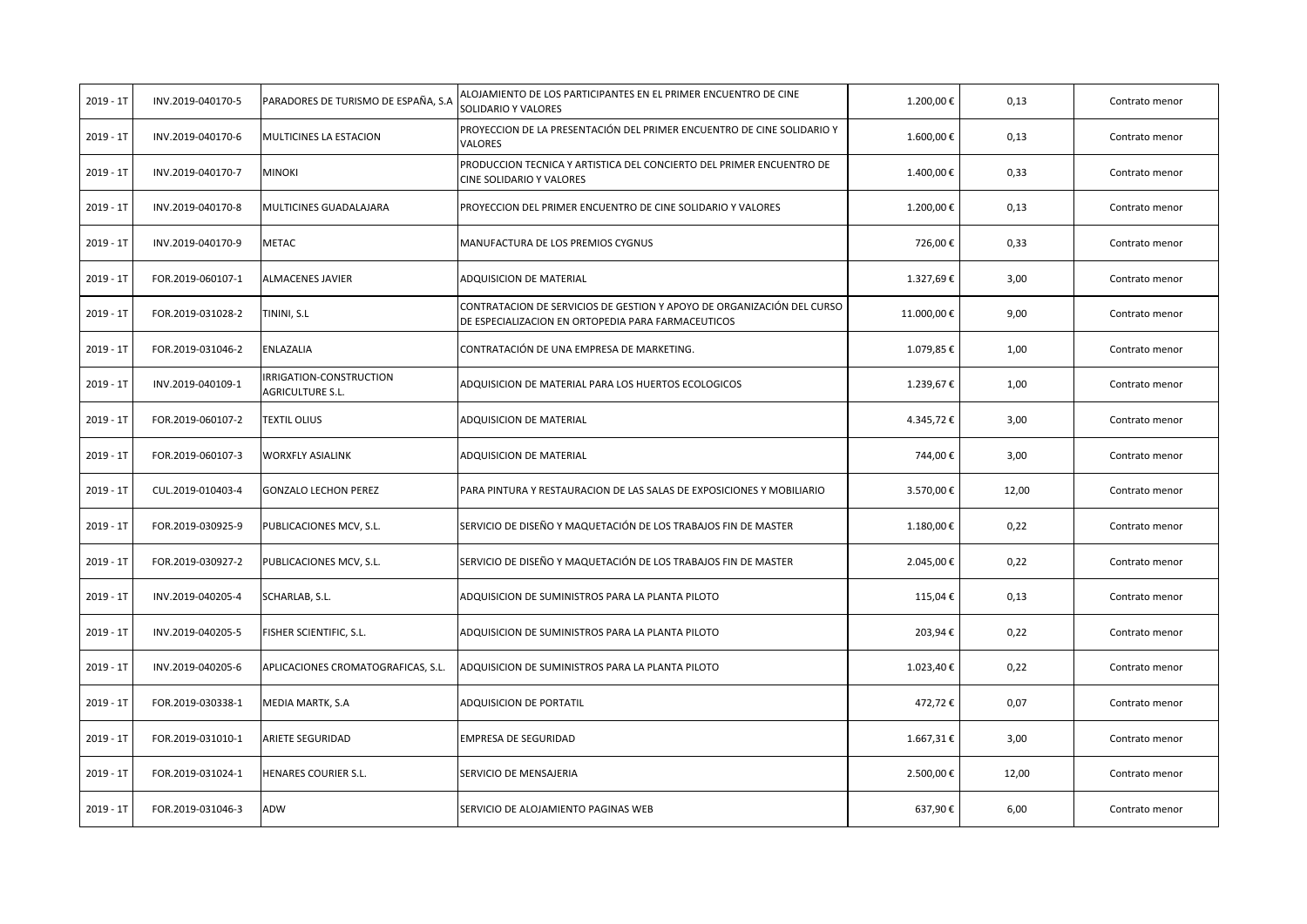| 2019 - 1T   | INV.2019-040170-5 | PARADORES DE TURISMO DE ESPAÑA, S.A         | ALOJAMIENTO DE LOS PARTICIPANTES EN EL PRIMER ENCUENTRO DE CINE<br>SOLIDARIO Y VALORES                                       | 1.200,00€  | 0,13  | Contrato menor |
|-------------|-------------------|---------------------------------------------|------------------------------------------------------------------------------------------------------------------------------|------------|-------|----------------|
| 2019 - 1T   | INV.2019-040170-6 | MULTICINES LA ESTACION                      | PROYECCION DE LA PRESENTACIÓN DEL PRIMER ENCUENTRO DE CINE SOLIDARIO Y<br>VALORES                                            | 1.600,00€  | 0,13  | Contrato menor |
| $2019 - 1T$ | INV.2019-040170-7 | <b>MINOKI</b>                               | PRODUCCION TECNICA Y ARTISTICA DEL CONCIERTO DEL PRIMER ENCUENTRO DE<br><b>CINE SOLIDARIO Y VALORES</b>                      | 1.400,00€  | 0,33  | Contrato menor |
| $2019 - 1T$ | INV.2019-040170-8 | MULTICINES GUADALAJARA                      | PROYECCION DEL PRIMER ENCUENTRO DE CINE SOLIDARIO Y VALORES                                                                  | 1.200,00€  | 0,13  | Contrato menor |
| $2019 - 1T$ | INV.2019-040170-9 | <b>METAC</b>                                | MANUFACTURA DE LOS PREMIOS CYGNUS                                                                                            | 726,00€    | 0,33  | Contrato menor |
| $2019 - 1T$ | FOR.2019-060107-1 | <b>ALMACENES JAVIER</b>                     | ADQUISICION DE MATERIAL                                                                                                      | 1.327,69€  | 3,00  | Contrato menor |
| 2019 - 1T   | FOR.2019-031028-2 | TININI, S.L                                 | CONTRATACION DE SERVICIOS DE GESTION Y APOYO DE ORGANIZACIÓN DEL CURSO<br>DE ESPECIALIZACION EN ORTOPEDIA PARA FARMACEUTICOS | 11.000,00€ | 9,00  | Contrato menor |
| $2019 - 1T$ | FOR.2019-031046-2 | <b>ENLAZALIA</b>                            | CONTRATACIÓN DE UNA EMPRESA DE MARKETING.                                                                                    | 1.079,85€  | 1,00  | Contrato menor |
| $2019 - 1T$ | INV.2019-040109-1 | IRRIGATION-CONSTRUCTION<br>AGRICULTURE S.L. | ADQUISICION DE MATERIAL PARA LOS HUERTOS ECOLOGICOS                                                                          | 1.239,67€  | 1,00  | Contrato menor |
| $2019 - 1T$ | FOR.2019-060107-2 | <b>TEXTIL OLIUS</b>                         | ADQUISICION DE MATERIAL                                                                                                      | 4.345,72€  | 3,00  | Contrato menor |
| $2019 - 1T$ | FOR.2019-060107-3 | <b>WORXFLY ASIALINK</b>                     | ADQUISICION DE MATERIAL                                                                                                      | 744,00€    | 3,00  | Contrato menor |
| 2019 - 1T   | CUL.2019-010403-4 | <b>GONZALO LECHON PEREZ</b>                 | PARA PINTURA Y RESTAURACION DE LAS SALAS DE EXPOSICIONES Y MOBILIARIO                                                        | 3.570,00€  | 12,00 | Contrato menor |
| $2019 - 1T$ | FOR.2019-030925-9 | PUBLICACIONES MCV, S.L.                     | SERVICIO DE DISEÑO Y MAQUETACIÓN DE LOS TRABAJOS FIN DE MASTER                                                               | 1.180,00€  | 0,22  | Contrato menor |
| 2019 - 1T   | FOR.2019-030927-2 | PUBLICACIONES MCV, S.L.                     | SERVICIO DE DISEÑO Y MAQUETACIÓN DE LOS TRABAJOS FIN DE MASTER                                                               | 2.045,00€  | 0,22  | Contrato menor |
| $2019 - 1T$ | INV.2019-040205-4 | SCHARLAB, S.L.                              | ADQUISICION DE SUMINISTROS PARA LA PLANTA PILOTO                                                                             | 115,04€    | 0,13  | Contrato menor |
| $2019 - 1T$ | INV.2019-040205-5 | <b>FISHER SCIENTIFIC, S.L.</b>              | ADQUISICION DE SUMINISTROS PARA LA PLANTA PILOTO                                                                             | 203,94€    | 0,22  | Contrato menor |
| 2019 - 1T   | INV.2019-040205-6 | APLICACIONES CROMATOGRAFICAS, S.L.          | ADQUISICION DE SUMINISTROS PARA LA PLANTA PILOTO                                                                             | 1.023,40€  | 0,22  | Contrato menor |
| $2019 - 1T$ | FOR.2019-030338-1 | MEDIA MARTK, S.A                            | ADQUISICION DE PORTATIL                                                                                                      | 472,72€    | 0,07  | Contrato menor |
| $2019 - 1T$ | FOR.2019-031010-1 | <b>ARIETE SEGURIDAD</b>                     | <b>EMPRESA DE SEGURIDAD</b>                                                                                                  | 1.667,31€  | 3,00  | Contrato menor |
| 2019 - 1T   | FOR.2019-031024-1 | <b>HENARES COURIER S.L.</b>                 | SERVICIO DE MENSAJERIA                                                                                                       | 2.500,00€  | 12,00 | Contrato menor |
| $2019 - 1T$ | FOR.2019-031046-3 | ADW                                         | SERVICIO DE ALOJAMIENTO PAGINAS WEB                                                                                          | 637,90€    | 6,00  | Contrato menor |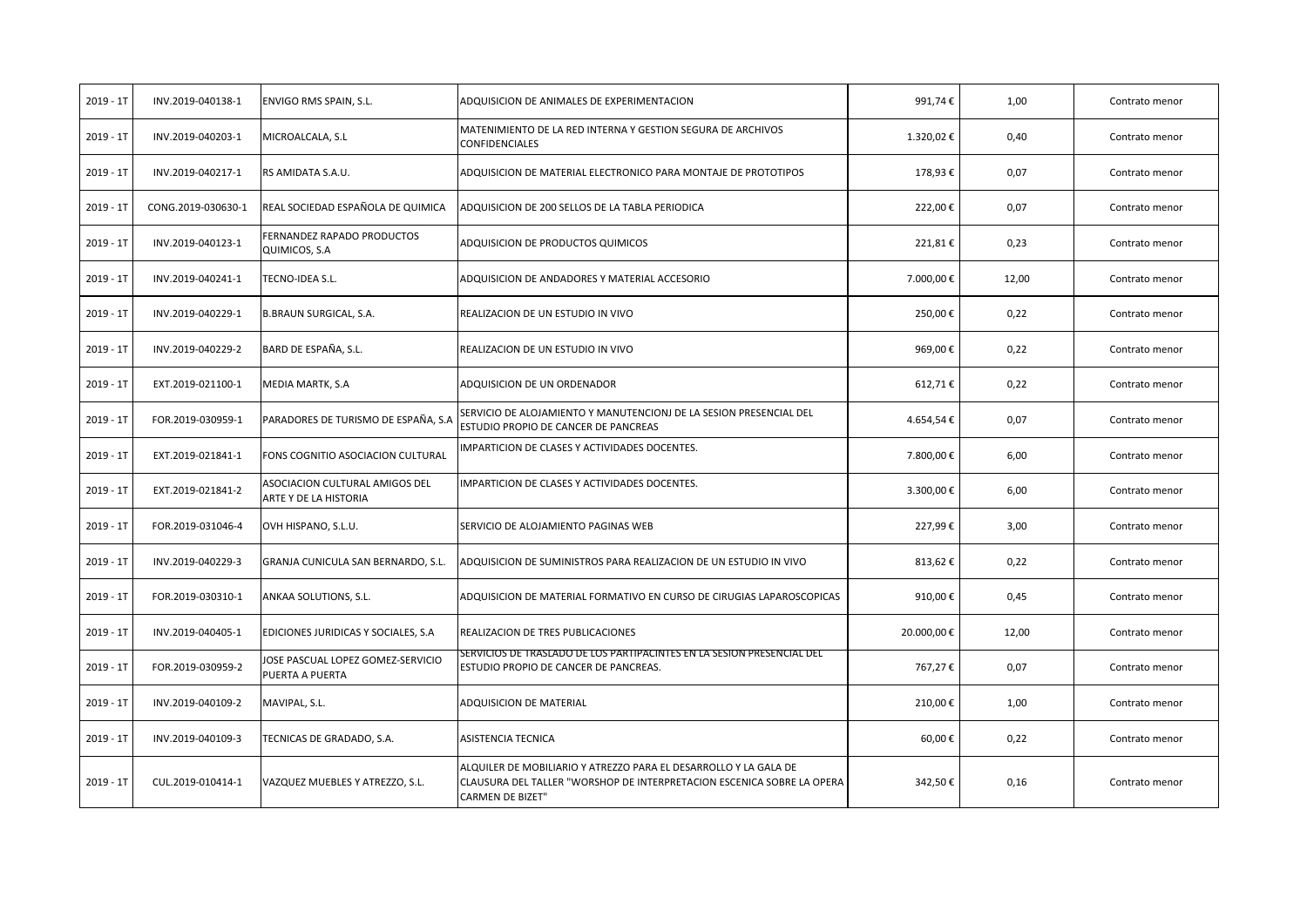| $2019 - 1T$ | INV.2019-040138-1  | <b>ENVIGO RMS SPAIN, S.L.</b>                           | ADQUISICION DE ANIMALES DE EXPERIMENTACION                                                                                                                            | 991,74€    | 1,00  | Contrato menor |
|-------------|--------------------|---------------------------------------------------------|-----------------------------------------------------------------------------------------------------------------------------------------------------------------------|------------|-------|----------------|
| 2019 - 1T   | INV.2019-040203-1  | MICROALCALA, S.L                                        | MATENIMIENTO DE LA RED INTERNA Y GESTION SEGURA DE ARCHIVOS<br>CONFIDENCIALES                                                                                         | 1.320,02€  | 0,40  | Contrato menor |
| 2019 - 1T   | INV.2019-040217-1  | RS AMIDATA S.A.U.                                       | ADQUISICION DE MATERIAL ELECTRONICO PARA MONTAJE DE PROTOTIPOS                                                                                                        | 178,93€    | 0,07  | Contrato menor |
| 2019 - 1T   | CONG.2019-030630-1 | REAL SOCIEDAD ESPAÑOLA DE QUIMICA                       | ADQUISICION DE 200 SELLOS DE LA TABLA PERIODICA                                                                                                                       | 222,00€    | 0,07  | Contrato menor |
| 2019 - 1T   | INV.2019-040123-1  | FERNANDEZ RAPADO PRODUCTOS<br>QUIMICOS, S.A.            | ADQUISICION DE PRODUCTOS QUIMICOS                                                                                                                                     | 221,81€    | 0,23  | Contrato menor |
| $2019 - 1T$ | INV.2019-040241-1  | TECNO-IDEA S.L.                                         | ADQUISICION DE ANDADORES Y MATERIAL ACCESORIO                                                                                                                         | 7.000,00€  | 12,00 | Contrato menor |
| $2019 - 1T$ | INV.2019-040229-1  | <b>B.BRAUN SURGICAL, S.A.</b>                           | REALIZACION DE UN ESTUDIO IN VIVO                                                                                                                                     | 250,00€    | 0,22  | Contrato menor |
| 2019 - 1T   | INV.2019-040229-2  | BARD DE ESPAÑA, S.L.                                    | REALIZACION DE UN ESTUDIO IN VIVO                                                                                                                                     | 969,00€    | 0,22  | Contrato menor |
| 2019 - 1T   | EXT.2019-021100-1  | MEDIA MARTK, S.A                                        | ADQUISICION DE UN ORDENADOR                                                                                                                                           | 612,71€    | 0,22  | Contrato menor |
| $2019 - 1T$ | FOR.2019-030959-1  | PARADORES DE TURISMO DE ESPAÑA, S.A                     | SERVICIO DE ALOJAMIENTO Y MANUTENCIONJ DE LA SESION PRESENCIAL DEL<br>ESTUDIO PROPIO DE CANCER DE PANCREAS                                                            | 4.654,54€  | 0,07  | Contrato menor |
| 2019 - 1T   | EXT.2019-021841-1  | FONS COGNITIO ASOCIACION CULTURAL                       | IMPARTICION DE CLASES Y ACTIVIDADES DOCENTES.                                                                                                                         | 7.800,00€  | 6,00  | Contrato menor |
| $2019 - 1T$ | EXT.2019-021841-2  | ASOCIACION CULTURAL AMIGOS DEL<br>ARTE Y DE LA HISTORIA | IMPARTICION DE CLASES Y ACTIVIDADES DOCENTES.                                                                                                                         | 3.300,00€  | 6,00  | Contrato menor |
| $2019 - 1T$ | FOR.2019-031046-4  | OVH HISPANO, S.L.U.                                     | SERVICIO DE ALOJAMIENTO PAGINAS WEB                                                                                                                                   | 227,99€    | 3,00  | Contrato menor |
| 2019 - 1T   | INV.2019-040229-3  | GRANJA CUNICULA SAN BERNARDO, S.L.                      | ADQUISICION DE SUMINISTROS PARA REALIZACION DE UN ESTUDIO IN VIVO                                                                                                     | 813,62€    | 0,22  | Contrato menor |
| $2019 - 1T$ | FOR.2019-030310-1  | ANKAA SOLUTIONS, S.L.                                   | ADQUISICION DE MATERIAL FORMATIVO EN CURSO DE CIRUGIAS LAPAROSCOPICAS                                                                                                 | 910,00€    | 0,45  | Contrato menor |
| 2019 - 1T   | INV.2019-040405-1  | EDICIONES JURIDICAS Y SOCIALES, S.A                     | REALIZACION DE TRES PUBLICACIONES                                                                                                                                     | 20.000,00€ | 12,00 | Contrato menor |
| 2019 - 1T   | FOR.2019-030959-2  | JOSE PASCUAL LOPEZ GOMEZ-SERVICIO<br>PUERTA A PUERTA    | SERVICIOS DE TRASLADO DE LOS PARTIPACINTES EN LA SESION PRESENCIAL DEL<br>ESTUDIO PROPIO DE CANCER DE PANCREAS.                                                       | 767,27€    | 0,07  | Contrato menor |
| $2019 - 1T$ | INV.2019-040109-2  | MAVIPAL, S.L.                                           | ADQUISICION DE MATERIAL                                                                                                                                               | 210,00€    | 1,00  | Contrato menor |
| 2019 - 1T   | INV.2019-040109-3  | TECNICAS DE GRADADO, S.A.                               | ASISTENCIA TECNICA                                                                                                                                                    | 60,00€     | 0,22  | Contrato menor |
| 2019 - 1T   | CUL.2019-010414-1  | VAZQUEZ MUEBLES Y ATREZZO, S.L.                         | ALQUILER DE MOBILIARIO Y ATREZZO PARA EL DESARROLLO Y LA GALA DE<br>CLAUSURA DEL TALLER "WORSHOP DE INTERPRETACION ESCENICA SOBRE LA OPERA<br><b>CARMEN DE BIZET"</b> | 342,50€    | 0,16  | Contrato menor |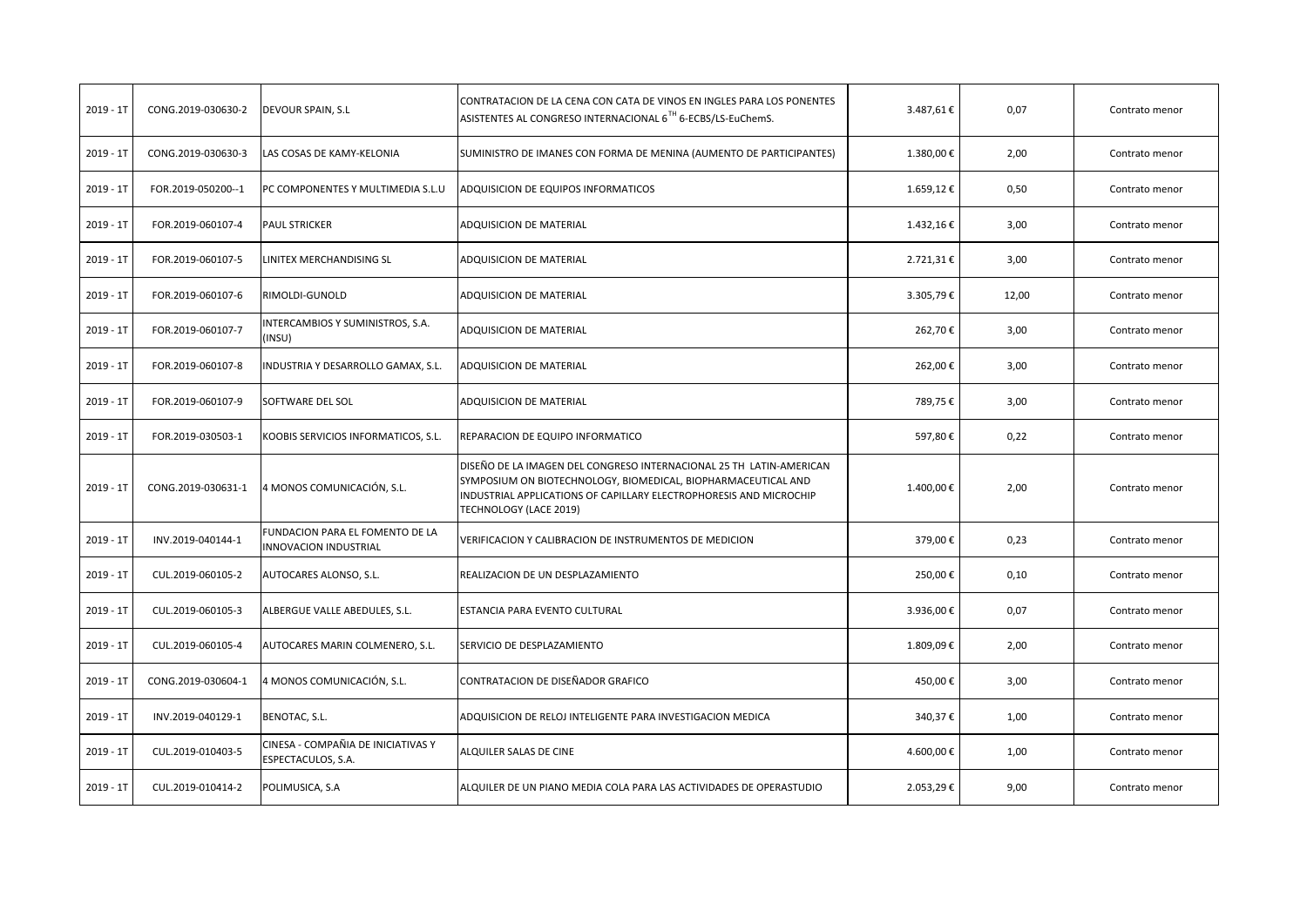| $2019 - 1T$ | CONG.2019-030630-2 | <b>DEVOUR SPAIN, S.L</b>                                        | CONTRATACION DE LA CENA CON CATA DE VINOS EN INGLES PARA LOS PONENTES<br>ASISTENTES AL CONGRESO INTERNACIONAL 6TH 6-ECBS/LS-EuChemS.                                                                                                 | 3.487,61€ | 0,07  | Contrato menor |
|-------------|--------------------|-----------------------------------------------------------------|--------------------------------------------------------------------------------------------------------------------------------------------------------------------------------------------------------------------------------------|-----------|-------|----------------|
| $2019 - 1T$ | CONG.2019-030630-3 | LAS COSAS DE KAMY-KELONIA                                       | SUMINISTRO DE IMANES CON FORMA DE MENINA (AUMENTO DE PARTICIPANTES)                                                                                                                                                                  | 1.380,00€ | 2,00  | Contrato menor |
| $2019 - 1T$ | FOR.2019-050200--1 | PC COMPONENTES Y MULTIMEDIA S.L.U                               | ADQUISICION DE EQUIPOS INFORMATICOS                                                                                                                                                                                                  | 1.659,12€ | 0,50  | Contrato menor |
| $2019 - 1T$ | FOR.2019-060107-4  | <b>PAUL STRICKER</b>                                            | <b>ADQUISICION DE MATERIAL</b>                                                                                                                                                                                                       | 1.432,16€ | 3,00  | Contrato menor |
| 2019 - 1T   | FOR.2019-060107-5  | LINITEX MERCHANDISING SL                                        | ADQUISICION DE MATERIAL                                                                                                                                                                                                              | 2.721,31€ | 3,00  | Contrato menor |
| $2019 - 1T$ | FOR.2019-060107-6  | RIMOLDI-GUNOLD                                                  | ADQUISICION DE MATERIAL                                                                                                                                                                                                              | 3.305,79€ | 12,00 | Contrato menor |
| $2019 - 1T$ | FOR.2019-060107-7  | INTERCAMBIOS Y SUMINISTROS, S.A.<br>(INSU)                      | <b>ADQUISICION DE MATERIAL</b>                                                                                                                                                                                                       | 262,70€   | 3,00  | Contrato menor |
| $2019 - 1T$ | FOR.2019-060107-8  | INDUSTRIA Y DESARROLLO GAMAX, S.L.                              | ADQUISICION DE MATERIAL                                                                                                                                                                                                              | 262,00€   | 3,00  | Contrato menor |
| $2019 - 1T$ | FOR.2019-060107-9  | SOFTWARE DEL SOL                                                | ADQUISICION DE MATERIAL                                                                                                                                                                                                              | 789,75€   | 3,00  | Contrato menor |
| $2019 - 1T$ | FOR.2019-030503-1  | KOOBIS SERVICIOS INFORMATICOS, S.L.                             | REPARACION DE EQUIPO INFORMATICO                                                                                                                                                                                                     | 597,80€   | 0,22  | Contrato menor |
| $2019 - 1T$ | CONG.2019-030631-1 | 4 MONOS COMUNICACIÓN, S.L.                                      | DISEÑO DE LA IMAGEN DEL CONGRESO INTERNACIONAL 25 TH LATIN-AMERICAN<br>SYMPOSIUM ON BIOTECHNOLOGY, BIOMEDICAL, BIOPHARMACEUTICAL AND<br>INDUSTRIAL APPLICATIONS OF CAPILLARY ELECTROPHORESIS AND MICROCHIP<br>TECHNOLOGY (LACE 2019) | 1.400,00€ | 2,00  | Contrato menor |
| $2019 - 1T$ | INV.2019-040144-1  | FUNDACION PARA EL FOMENTO DE LA<br><b>INNOVACION INDUSTRIAL</b> | VERIFICACION Y CALIBRACION DE INSTRUMENTOS DE MEDICION                                                                                                                                                                               | 379,00€   | 0,23  | Contrato menor |
| 2019 - 1T   | CUL.2019-060105-2  | AUTOCARES ALONSO, S.L.                                          | REALIZACION DE UN DESPLAZAMIENTO                                                                                                                                                                                                     | 250,00€   | 0,10  | Contrato menor |
| $2019 - 1T$ | CUL.2019-060105-3  | ALBERGUE VALLE ABEDULES, S.L.                                   | ESTANCIA PARA EVENTO CULTURAL                                                                                                                                                                                                        | 3.936,00€ | 0,07  | Contrato menor |
| $2019 - 1T$ | CUL.2019-060105-4  | AUTOCARES MARIN COLMENERO, S.L.                                 | SERVICIO DE DESPLAZAMIENTO                                                                                                                                                                                                           | 1.809,09€ | 2,00  | Contrato menor |
| $2019 - 1T$ | CONG.2019-030604-1 | 4 MONOS COMUNICACIÓN, S.L.                                      | CONTRATACION DE DISEÑADOR GRAFICO                                                                                                                                                                                                    | 450,00€   | 3,00  | Contrato menor |
| $2019 - 1T$ | INV.2019-040129-1  | BENOTAC, S.L.                                                   | ADQUISICION DE RELOJ INTELIGENTE PARA INVESTIGACION MEDICA                                                                                                                                                                           | 340,37€   | 1,00  | Contrato menor |
| $2019 - 1T$ | CUL.2019-010403-5  | CINESA - COMPAÑIA DE INICIATIVAS Y<br>ESPECTACULOS, S.A.        | ALQUILER SALAS DE CINE                                                                                                                                                                                                               | 4.600,00€ | 1,00  | Contrato menor |
| $2019 - 1T$ | CUL.2019-010414-2  | POLIMUSICA, S.A                                                 | ALQUILER DE UN PIANO MEDIA COLA PARA LAS ACTIVIDADES DE OPERASTUDIO                                                                                                                                                                  | 2.053,29€ | 9,00  | Contrato menor |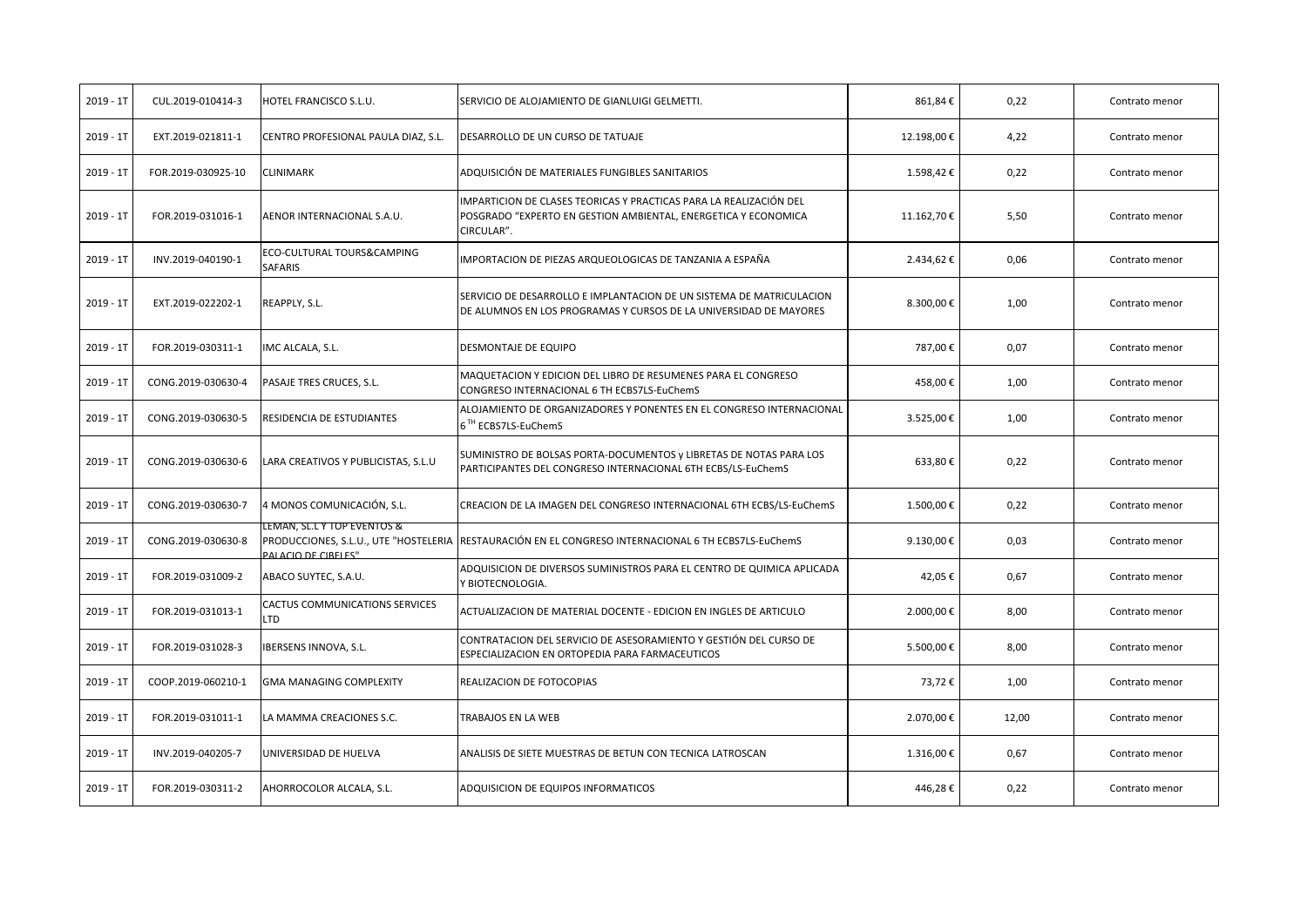| $2019 - 1T$ | CUL.2019-010414-3  | HOTEL FRANCISCO S.L.U.                                                                      | SERVICIO DE ALOJAMIENTO DE GIANLUIGI GELMETTI.                                                                                                     | 861,84€    | 0,22  | Contrato menor |
|-------------|--------------------|---------------------------------------------------------------------------------------------|----------------------------------------------------------------------------------------------------------------------------------------------------|------------|-------|----------------|
| 2019 - 1T   | EXT.2019-021811-1  | CENTRO PROFESIONAL PAULA DIAZ, S.L.                                                         | DESARROLLO DE UN CURSO DE TATUAJE                                                                                                                  | 12.198,00€ | 4,22  | Contrato menor |
| 2019 - 1T   | FOR.2019-030925-10 | <b>CLINIMARK</b>                                                                            | ADQUISICIÓN DE MATERIALES FUNGIBLES SANITARIOS                                                                                                     | 1.598,42€  | 0,22  | Contrato menor |
| $2019 - 1T$ | FOR.2019-031016-1  | AENOR INTERNACIONAL S.A.U.                                                                  | IMPARTICION DE CLASES TEORICAS Y PRACTICAS PARA LA REALIZACIÓN DEL<br>POSGRADO "EXPERTO EN GESTION AMBIENTAL, ENERGETICA Y ECONOMICA<br>CIRCULAR". | 11.162,70€ | 5,50  | Contrato menor |
| 2019 - 1T   | INV.2019-040190-1  | ECO-CULTURAL TOURS&CAMPING<br>SAFARIS                                                       | IMPORTACION DE PIEZAS ARQUEOLOGICAS DE TANZANIA A ESPAÑA                                                                                           | 2.434,62€  | 0,06  | Contrato menor |
| $2019 - 1T$ | EXT.2019-022202-1  | REAPPLY, S.L.                                                                               | SERVICIO DE DESARROLLO E IMPLANTACION DE UN SISTEMA DE MATRICULACION<br>DE ALUMNOS EN LOS PROGRAMAS Y CURSOS DE LA UNIVERSIDAD DE MAYORES          | 8.300,00€  | 1,00  | Contrato menor |
| 2019 - 1T   | FOR.2019-030311-1  | IMC ALCALA, S.L.                                                                            | DESMONTAJE DE EQUIPO                                                                                                                               | 787,00€    | 0,07  | Contrato menor |
| 2019 - 1T   | CONG.2019-030630-4 | PASAJE TRES CRUCES, S.L.                                                                    | MAQUETACION Y EDICION DEL LIBRO DE RESUMENES PARA EL CONGRESO<br>CONGRESO INTERNACIONAL 6 TH ECBS7LS-EuChemS                                       | 458,00€    | 1,00  | Contrato menor |
| 2019 - 1T   | CONG.2019-030630-5 | RESIDENCIA DE ESTUDIANTES                                                                   | ALOJAMIENTO DE ORGANIZADORES Y PONENTES EN EL CONGRESO INTERNACIONAL<br>6 <sup>TH</sup> ECBS7LS-EuChemS                                            | 3.525,00€  | 1,00  | Contrato menor |
| 2019 - 1T   | CONG.2019-030630-6 | LARA CREATIVOS Y PUBLICISTAS, S.L.U                                                         | SUMINISTRO DE BOLSAS PORTA-DOCUMENTOS y LIBRETAS DE NOTAS PARA LOS<br>PARTICIPANTES DEL CONGRESO INTERNACIONAL 6TH ECBS/LS-EuChemS                 | 633,80€    | 0,22  | Contrato menor |
| $2019 - 1T$ | CONG.2019-030630-7 | 4 MONOS COMUNICACIÓN, S.L.                                                                  | CREACION DE LA IMAGEN DEL CONGRESO INTERNACIONAL 6TH ECBS/LS-EuChemS                                                                               | 1.500,00€  | 0,22  | Contrato menor |
| 2019 - 1T   | CONG.2019-030630-8 | LEMAN, SL.L Y TOP EVENTOS &<br>PRODUCCIONES, S.L.U., UTE "HOSTELERIA<br>PALACIO DE CIBELES" | RESTAURACIÓN EN EL CONGRESO INTERNACIONAL 6 TH ECBS7LS-EuChemS                                                                                     | 9.130,00€  | 0,03  | Contrato menor |
| $2019 - 1T$ | FOR.2019-031009-2  | ABACO SUYTEC, S.A.U.                                                                        | ADQUISICION DE DIVERSOS SUMINISTROS PARA EL CENTRO DE QUIMICA APLICADA<br>Y BIOTECNOLOGIA.                                                         | 42,05€     | 0,67  | Contrato menor |
| $2019 - 1T$ | FOR.2019-031013-1  | CACTUS COMMUNICATIONS SERVICES<br>LTD                                                       | ACTUALIZACION DE MATERIAL DOCENTE - EDICION EN INGLES DE ARTICULO                                                                                  | 2.000,00€  | 8,00  | Contrato menor |
| $2019 - 1T$ | FOR.2019-031028-3  | IBERSENS INNOVA, S.L.                                                                       | CONTRATACION DEL SERVICIO DE ASESORAMIENTO Y GESTIÓN DEL CURSO DE<br>ESPECIALIZACION EN ORTOPEDIA PARA FARMACEUTICOS                               | 5.500,00€  | 8,00  | Contrato menor |
| 2019 - 1T   | COOP.2019-060210-1 | <b>GMA MANAGING COMPLEXITY</b>                                                              | REALIZACION DE FOTOCOPIAS                                                                                                                          | 73,72€     | 1,00  | Contrato menor |
| 2019 - 1T   | FOR.2019-031011-1  | LA MAMMA CREACIONES S.C.                                                                    | TRABAJOS EN LA WEB                                                                                                                                 | 2.070,00€  | 12,00 | Contrato menor |
| 2019 - 1T   | INV.2019-040205-7  | UNIVERSIDAD DE HUELVA                                                                       | ANALISIS DE SIETE MUESTRAS DE BETUN CON TECNICA LATROSCAN                                                                                          | 1.316,00€  | 0,67  | Contrato menor |
| $2019 - 1T$ | FOR.2019-030311-2  | AHORROCOLOR ALCALA, S.L.                                                                    | ADQUISICION DE EQUIPOS INFORMATICOS                                                                                                                | 446,28€    | 0,22  | Contrato menor |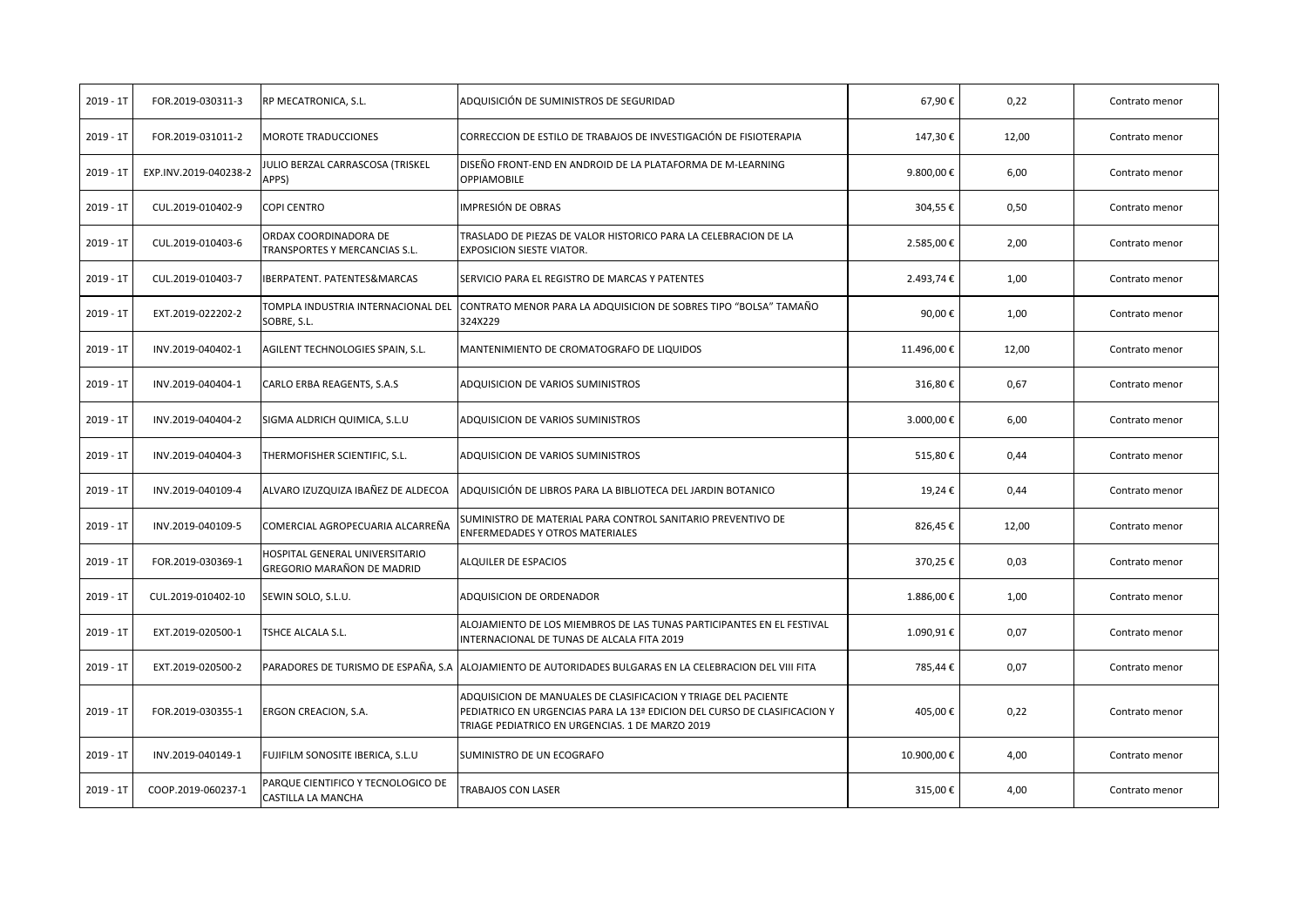| $2019 - 1T$ | FOR.2019-030311-3     | RP MECATRONICA, S.L.                                                | ADQUISICIÓN DE SUMINISTROS DE SEGURIDAD                                                                                                                                                       | 67,90€     | 0,22  | Contrato menor |
|-------------|-----------------------|---------------------------------------------------------------------|-----------------------------------------------------------------------------------------------------------------------------------------------------------------------------------------------|------------|-------|----------------|
| $2019 - 1T$ | FOR.2019-031011-2     | <b>MOROTE TRADUCCIONES</b>                                          | CORRECCION DE ESTILO DE TRABAJOS DE INVESTIGACIÓN DE FISIOTERAPIA                                                                                                                             | 147,30€    | 12,00 | Contrato menor |
| $2019 - 1T$ | EXP.INV.2019-040238-2 | JULIO BERZAL CARRASCOSA (TRISKEL<br>APPS)                           | DISEÑO FRONT-END EN ANDROID DE LA PLATAFORMA DE M-LEARNING<br><b>OPPIAMOBILE</b>                                                                                                              | 9.800,00€  | 6,00  | Contrato menor |
| $2019 - 1T$ | CUL.2019-010402-9     | <b>COPI CENTRO</b>                                                  | IMPRESIÓN DE OBRAS                                                                                                                                                                            | 304,55€    | 0,50  | Contrato menor |
| 2019 - 1T   | CUL.2019-010403-6     | ORDAX COORDINADORA DE<br>TRANSPORTES Y MERCANCIAS S.L.              | TRASLADO DE PIEZAS DE VALOR HISTORICO PARA LA CELEBRACION DE LA<br><b>EXPOSICION SIESTE VIATOR.</b>                                                                                           | 2.585,00€  | 2,00  | Contrato menor |
| $2019 - 1T$ | CUL.2019-010403-7     | IBERPATENT. PATENTES&MARCAS                                         | SERVICIO PARA EL REGISTRO DE MARCAS Y PATENTES                                                                                                                                                | 2.493,74€  | 1,00  | Contrato menor |
| $2019 - 11$ | EXT.2019-022202-2     | TOMPLA INDUSTRIA INTERNACIONAL DEL<br>SOBRE, S.L.                   | CONTRATO MENOR PARA LA ADQUISICION DE SOBRES TIPO "BOLSA" TAMAÑO<br>324X229                                                                                                                   | 90,00€     | 1,00  | Contrato menor |
| $2019 - 1T$ | INV.2019-040402-1     | AGILENT TECHNOLOGIES SPAIN, S.L.                                    | MANTENIMIENTO DE CROMATOGRAFO DE LIQUIDOS                                                                                                                                                     | 11.496,00€ | 12,00 | Contrato menor |
| $2019 - 1T$ | INV.2019-040404-1     | CARLO ERBA REAGENTS, S.A.S                                          | ADQUISICION DE VARIOS SUMINISTROS                                                                                                                                                             | 316,80€    | 0,67  | Contrato menor |
| $2019 - 1T$ | INV.2019-040404-2     | SIGMA ALDRICH QUIMICA, S.L.U                                        | ADQUISICION DE VARIOS SUMINISTROS                                                                                                                                                             | 3.000,00€  | 6,00  | Contrato menor |
| $2019 - 1T$ | INV.2019-040404-3     | THERMOFISHER SCIENTIFIC, S.L.                                       | ADQUISICION DE VARIOS SUMINISTROS                                                                                                                                                             | 515,80€    | 0,44  | Contrato menor |
| $2019 - 1T$ | INV.2019-040109-4     | ALVARO IZUZQUIZA IBAÑEZ DE ALDECOA                                  | ADQUISICIÓN DE LIBROS PARA LA BIBLIOTECA DEL JARDIN BOTANICO                                                                                                                                  | 19,24€     | 0,44  | Contrato menor |
| $2019 - 1T$ | INV.2019-040109-5     | COMERCIAL AGROPECUARIA ALCARREÑA                                    | SUMINISTRO DE MATERIAL PARA CONTROL SANITARIO PREVENTIVO DE<br><b>ENFERMEDADES Y OTROS MATERIALES</b>                                                                                         | 826,45€    | 12,00 | Contrato menor |
| $2019 - 1T$ | FOR.2019-030369-1     | HOSPITAL GENERAL UNIVERSITARIO<br><b>GREGORIO MARAÑON DE MADRID</b> | ALQUILER DE ESPACIOS                                                                                                                                                                          | 370,25€    | 0,03  | Contrato menor |
| $2019 - 11$ | CUL.2019-010402-10    | SEWIN SOLO, S.L.U.                                                  | ADQUISICION DE ORDENADOR                                                                                                                                                                      | 1.886,00€  | 1,00  | Contrato menor |
| $2019 - 1T$ | EXT.2019-020500-1     | TSHCE ALCALA S.L.                                                   | ALOJAMIENTO DE LOS MIEMBROS DE LAS TUNAS PARTICIPANTES EN EL FESTIVAL<br>INTERNACIONAL DE TUNAS DE ALCALA FITA 2019                                                                           | 1.090,91€  | 0,07  | Contrato menor |
| $2019 - 1T$ | EXT.2019-020500-2     |                                                                     | PARADORES DE TURISMO DE ESPAÑA, S.A ALOJAMIENTO DE AUTORIDADES BULGARAS EN LA CELEBRACION DEL VIII FITA                                                                                       | 785,44€    | 0,07  | Contrato menor |
| $2019 - 1T$ | FOR.2019-030355-1     | ERGON CREACION, S.A.                                                | ADQUISICION DE MANUALES DE CLASIFICACION Y TRIAGE DEL PACIENTE<br>PEDIATRICO EN URGENCIAS PARA LA 13ª EDICION DEL CURSO DE CLASIFICACION Y<br>TRIAGE PEDIATRICO EN URGENCIAS. 1 DE MARZO 2019 | 405,00€    | 0,22  | Contrato menor |
| $2019 - 1T$ | INV.2019-040149-1     | FUJIFILM SONOSITE IBERICA, S.L.U                                    | SUMINISTRO DE UN ECOGRAFO                                                                                                                                                                     | 10.900,00€ | 4,00  | Contrato menor |
| $2019 - 1T$ | COOP.2019-060237-1    | PARQUE CIENTIFICO Y TECNOLOGICO DE<br>CASTILLA LA MANCHA            | TRABAJOS CON LASER                                                                                                                                                                            | 315,00€    | 4,00  | Contrato menor |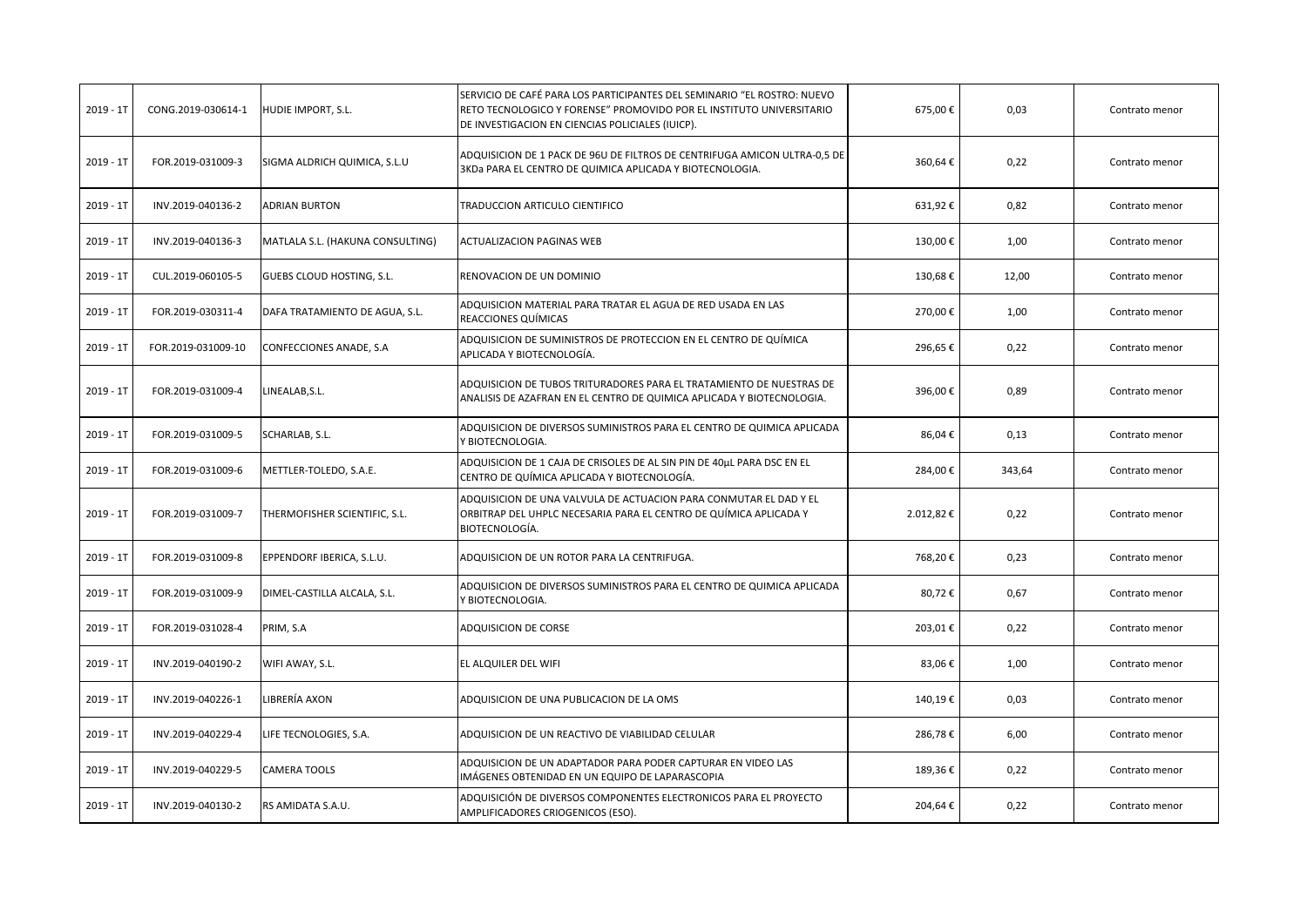| $2019 - 1T$ | CONG.2019-030614-1 | HUDIE IMPORT, S.L.               | SERVICIO DE CAFÉ PARA LOS PARTICIPANTES DEL SEMINARIO "EL ROSTRO: NUEVO<br>RETO TECNOLOGICO Y FORENSE" PROMOVIDO POR EL INSTITUTO UNIVERSITARIO<br>DE INVESTIGACION EN CIENCIAS POLICIALES (IUICP). | 675,00€   | 0,03   | Contrato menor |
|-------------|--------------------|----------------------------------|-----------------------------------------------------------------------------------------------------------------------------------------------------------------------------------------------------|-----------|--------|----------------|
| $2019 - 1T$ | FOR.2019-031009-3  | SIGMA ALDRICH QUIMICA, S.L.U     | ADQUISICION DE 1 PACK DE 96U DE FILTROS DE CENTRIFUGA AMICON ULTRA-0,5 DE<br>3KDa PARA EL CENTRO DE QUIMICA APLICADA Y BIOTECNOLOGIA.                                                               | 360,64€   | 0,22   | Contrato menor |
| 2019 - 1T   | INV.2019-040136-2  | <b>ADRIAN BURTON</b>             | TRADUCCION ARTICULO CIENTIFICO                                                                                                                                                                      | 631,92€   | 0,82   | Contrato menor |
| $2019 - 1T$ | INV.2019-040136-3  | MATLALA S.L. (HAKUNA CONSULTING) | ACTUALIZACION PAGINAS WEB                                                                                                                                                                           | 130,00€   | 1,00   | Contrato menor |
| 2019 - 1T   | CUL.2019-060105-5  | GUEBS CLOUD HOSTING, S.L.        | RENOVACION DE UN DOMINIO                                                                                                                                                                            | 130,68€   | 12,00  | Contrato menor |
| $2019 - 1T$ | FOR.2019-030311-4  | DAFA TRATAMIENTO DE AGUA, S.L.   | ADQUISICION MATERIAL PARA TRATAR EL AGUA DE RED USADA EN LAS<br>REACCIONES QUÍMICAS                                                                                                                 | 270,00€   | 1,00   | Contrato menor |
| $2019 - 1T$ | FOR.2019-031009-10 | CONFECCIONES ANADE, S.A          | ADQUISICION DE SUMINISTROS DE PROTECCION EN EL CENTRO DE QUÍMICA<br>APLICADA Y BIOTECNOLOGÍA.                                                                                                       | 296,65€   | 0,22   | Contrato menor |
| $2019 - 1T$ | FOR.2019-031009-4  | LINEALAB, S.L.                   | ADQUISICION DE TUBOS TRITURADORES PARA EL TRATAMIENTO DE NUESTRAS DE<br>ANALISIS DE AZAFRAN EN EL CENTRO DE QUIMICA APLICADA Y BIOTECNOLOGIA.                                                       | 396,00€   | 0,89   | Contrato menor |
| 2019 - 1T   | FOR.2019-031009-5  | SCHARLAB, S.L.                   | ADQUISICION DE DIVERSOS SUMINISTROS PARA EL CENTRO DE QUIMICA APLICADA<br>Y BIOTECNOLOGIA.                                                                                                          | 86,04€    | 0,13   | Contrato menor |
| 2019 - 1T   | FOR.2019-031009-6  | METTLER-TOLEDO, S.A.E.           | ADQUISICION DE 1 CAJA DE CRISOLES DE AL SIN PIN DE 40µL PARA DSC EN EL<br>CENTRO DE QUÍMICA APLICADA Y BIOTECNOLOGÍA.                                                                               | 284,00€   | 343,64 | Contrato menor |
| 2019 - 1T   | FOR.2019-031009-7  | THERMOFISHER SCIENTIFIC, S.L.    | ADQUISICION DE UNA VALVULA DE ACTUACION PARA CONMUTAR EL DAD Y EL<br>ORBITRAP DEL UHPLC NECESARIA PARA EL CENTRO DE QUÍMICA APLICADA Y<br>BIOTECNOLOGÍA.                                            | 2.012,82€ | 0,22   | Contrato menor |
| $2019 - 1T$ | FOR.2019-031009-8  | EPPENDORF IBERICA, S.L.U.        | ADQUISICION DE UN ROTOR PARA LA CENTRIFUGA.                                                                                                                                                         | 768,20€   | 0,23   | Contrato menor |
| 2019 - 1T   | FOR.2019-031009-9  | DIMEL-CASTILLA ALCALA, S.L.      | ADQUISICION DE DIVERSOS SUMINISTROS PARA EL CENTRO DE QUIMICA APLICADA<br>Y BIOTECNOLOGIA.                                                                                                          | 80,72€    | 0,67   | Contrato menor |
| 2019 - 1T   | FOR.2019-031028-4  | PRIM, S.A                        | ADQUISICION DE CORSE                                                                                                                                                                                | 203,01€   | 0,22   | Contrato menor |
| $2019 - 1T$ | INV.2019-040190-2  | WIFI AWAY, S.L.                  | EL ALQUILER DEL WIFI                                                                                                                                                                                | 83,06€    | 1,00   | Contrato menor |
| 2019 - 1T   | INV.2019-040226-1  | LIBRERÍA AXON                    | ADQUISICION DE UNA PUBLICACION DE LA OMS                                                                                                                                                            | 140,19€   | 0,03   | Contrato menor |
| $2019 - 1T$ | INV.2019-040229-4  | LIFE TECNOLOGIES, S.A.           | ADQUISICION DE UN REACTIVO DE VIABILIDAD CELULAR                                                                                                                                                    | 286,78€   | 6,00   | Contrato menor |
| 2019 - 1T   | INV.2019-040229-5  | <b>CAMERA TOOLS</b>              | ADQUISICION DE UN ADAPTADOR PARA PODER CAPTURAR EN VIDEO LAS<br>IMAGENES OBTENIDAD EN UN EQUIPO DE LAPARASCOPIA                                                                                     | 189,36€   | 0,22   | Contrato menor |
| $2019 - 1T$ | INV.2019-040130-2  | RS AMIDATA S.A.U.                | ADQUISICIÓN DE DIVERSOS COMPONENTES ELECTRONICOS PARA EL PROYECTO<br>AMPLIFICADORES CRIOGENICOS (ESO).                                                                                              | 204,64€   | 0,22   | Contrato menor |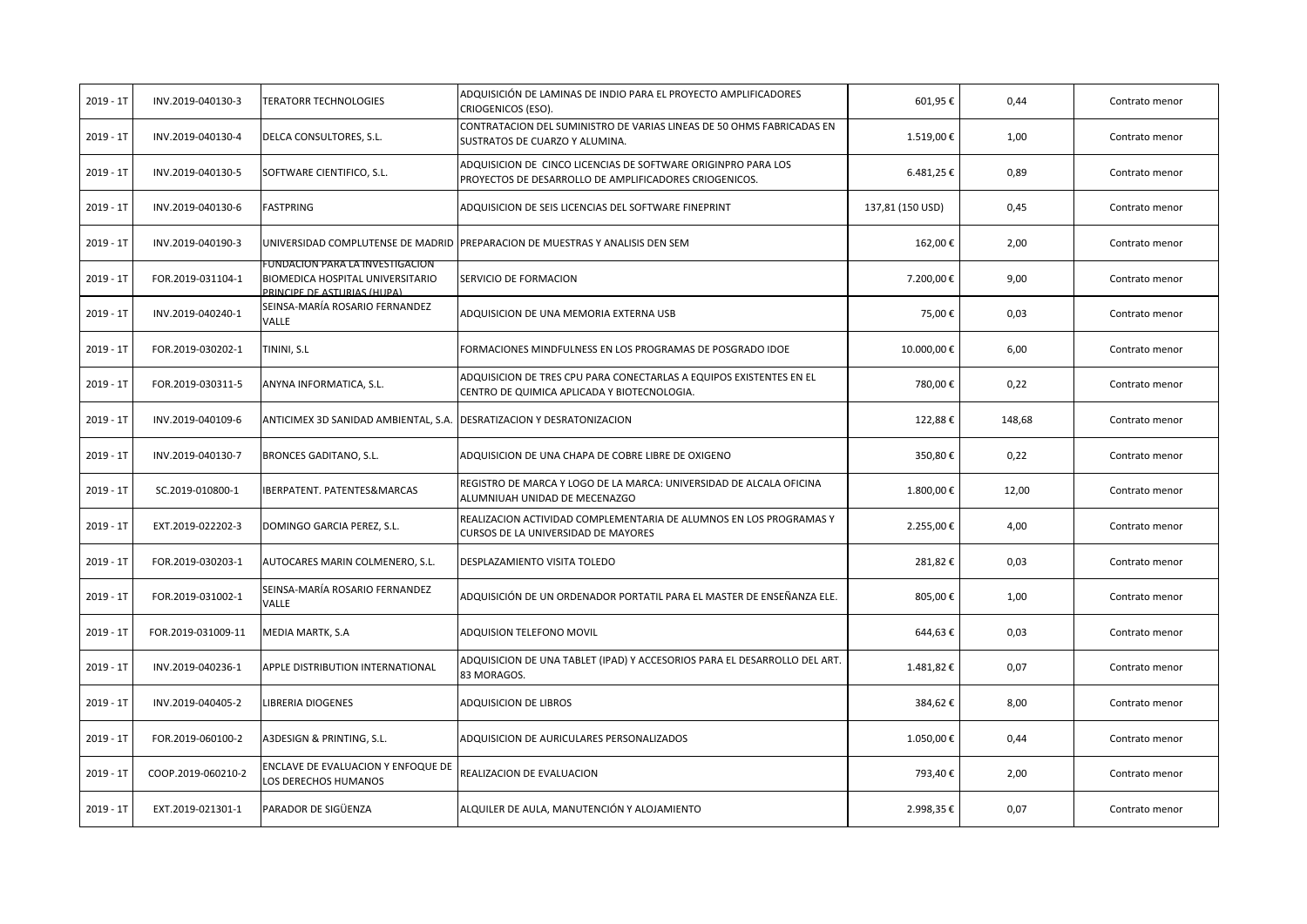| $2019 - 1T$ | INV.2019-040130-3  | <b>TERATORR TECHNOLOGIES</b>                                                                              | ADQUISICIÓN DE LAMINAS DE INDIO PARA EL PROYECTO AMPLIFICADORES<br>CRIOGENICOS (ESO).                                   | 601,95€          | 0,44   | Contrato menor |
|-------------|--------------------|-----------------------------------------------------------------------------------------------------------|-------------------------------------------------------------------------------------------------------------------------|------------------|--------|----------------|
| $2019 - 1T$ | INV.2019-040130-4  | DELCA CONSULTORES, S.L.                                                                                   | CONTRATACION DEL SUMINISTRO DE VARIAS LINEAS DE 50 OHMS FABRICADAS EN<br>SUSTRATOS DE CUARZO Y ALUMINA.                 | 1.519,00€        | 1,00   | Contrato menor |
| $2019 - 1T$ | INV.2019-040130-5  | SOFTWARE CIENTIFICO, S.L.                                                                                 | ADQUISICION DE CINCO LICENCIAS DE SOFTWARE ORIGINPRO PARA LOS<br>PROYECTOS DE DESARROLLO DE AMPLIFICADORES CRIOGENICOS. | 6.481,25€        | 0,89   | Contrato menor |
| $2019 - 1T$ | INV.2019-040130-6  | <b>FASTPRING</b>                                                                                          | ADQUISICION DE SEIS LICENCIAS DEL SOFTWARE FINEPRINT                                                                    | 137,81 (150 USD) | 0,45   | Contrato menor |
| $2019 - 1T$ | INV.2019-040190-3  | UNIVERSIDAD COMPLUTENSE DE MADRID                                                                         | PREPARACION DE MUESTRAS Y ANALISIS DEN SEM                                                                              | 162,00€          | 2,00   | Contrato menor |
| $2019 - 1T$ | FOR.2019-031104-1  | FUNDACION PARA LA INVESTIGACION<br><b>BIOMEDICA HOSPITAL UNIVERSITARIO</b><br>PRINCIPE DE ASTURIAS (HUPA) | SERVICIO DE FORMACION                                                                                                   | 7.200,00€        | 9,00   | Contrato menor |
| 2019 - 1T   | INV.2019-040240-1  | SEINSA-MARÍA ROSARIO FERNANDEZ<br>VALLE                                                                   | ADQUISICION DE UNA MEMORIA EXTERNA USB                                                                                  | 75,00€           | 0,03   | Contrato menor |
| $2019 - 1T$ | FOR.2019-030202-1  | TININI, S.L                                                                                               | FORMACIONES MINDFULNESS EN LOS PROGRAMAS DE POSGRADO IDOE                                                               | 10.000,00€       | 6,00   | Contrato menor |
| $2019 - 1T$ | FOR.2019-030311-5  | ANYNA INFORMATICA, S.L.                                                                                   | ADQUISICION DE TRES CPU PARA CONECTARLAS A EQUIPOS EXISTENTES EN EL<br>CENTRO DE QUIMICA APLICADA Y BIOTECNOLOGIA.      | 780,00€          | 0,22   | Contrato menor |
| $2019 - 1T$ | INV.2019-040109-6  | ANTICIMEX 3D SANIDAD AMBIENTAL, S.A.                                                                      | DESRATIZACION Y DESRATONIZACION                                                                                         | 122,88€          | 148,68 | Contrato menor |
| $2019 - 1T$ | INV.2019-040130-7  | <b>BRONCES GADITANO, S.L.</b>                                                                             | ADQUISICION DE UNA CHAPA DE COBRE LIBRE DE OXIGENO                                                                      | 350,80€          | 0,22   | Contrato menor |
| $2019 - 1T$ | SC.2019-010800-1   | IBERPATENT. PATENTES&MARCAS                                                                               | REGISTRO DE MARCA Y LOGO DE LA MARCA: UNIVERSIDAD DE ALCALA OFICINA<br>ALUMNIUAH UNIDAD DE MECENAZGO                    | 1.800,00€        | 12,00  | Contrato menor |
| $2019 - 1T$ | EXT.2019-022202-3  | DOMINGO GARCIA PEREZ, S.L.                                                                                | REALIZACION ACTIVIDAD COMPLEMENTARIA DE ALUMNOS EN LOS PROGRAMAS Y<br>CURSOS DE LA UNIVERSIDAD DE MAYORES               | 2.255,00€        | 4,00   | Contrato menor |
| $2019 - 1T$ | FOR.2019-030203-1  | AUTOCARES MARIN COLMENERO, S.L.                                                                           | DESPLAZAMIENTO VISITA TOLEDO                                                                                            | 281,82€          | 0,03   | Contrato menor |
| 2019 - 1T   | FOR.2019-031002-1  | SEINSA-MARÍA ROSARIO FERNANDEZ<br>VALLE                                                                   | ADQUISICIÓN DE UN ORDENADOR PORTATIL PARA EL MASTER DE ENSEÑANZA ELE.                                                   | 805,00€          | 1,00   | Contrato menor |
| $2019 - 1T$ | FOR.2019-031009-11 | <b>MEDIA MARTK, S.A</b>                                                                                   | ADQUISION TELEFONO MOVIL                                                                                                | 644,63€          | 0,03   | Contrato menor |
| 2019 - 1T   | INV.2019-040236-1  | APPLE DISTRIBUTION INTERNATIONAL                                                                          | ADQUISICION DE UNA TABLET (IPAD) Y ACCESORIOS PARA EL DESARROLLO DEL ART.<br>83 MORAGOS.                                | 1.481,82€        | 0,07   | Contrato menor |
| $2019 - 1T$ | INV.2019-040405-2  | <b>LIBRERIA DIOGENES</b>                                                                                  | ADQUISICION DE LIBROS                                                                                                   | 384,62€          | 8,00   | Contrato menor |
| $2019 - 1T$ | FOR.2019-060100-2  | A3DESIGN & PRINTING, S.L.                                                                                 | ADQUISICION DE AURICULARES PERSONALIZADOS                                                                               | 1.050,00€        | 0,44   | Contrato menor |
| 2019 - 1T   | COOP.2019-060210-2 | ENCLAVE DE EVALUACION Y ENFOQUE DE<br>LOS DERECHOS HUMANOS                                                | REALIZACION DE EVALUACION                                                                                               | 793,40€          | 2,00   | Contrato menor |
| $2019 - 1T$ | EXT.2019-021301-1  | PARADOR DE SIGÜENZA                                                                                       | ALQUILER DE AULA, MANUTENCIÓN Y ALOJAMIENTO                                                                             | 2.998,35€        | 0,07   | Contrato menor |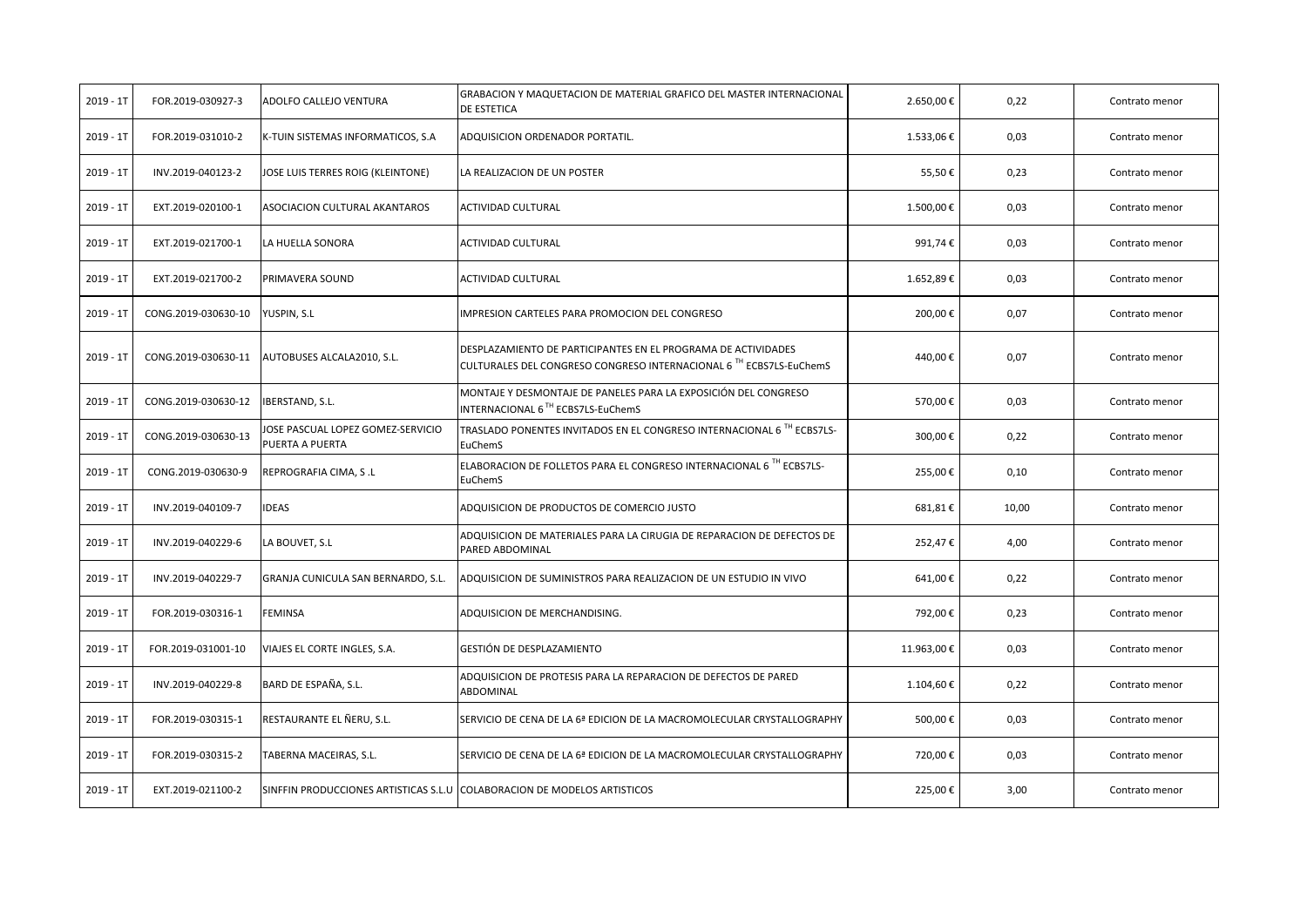| $2019 - 1T$ | FOR.2019-030927-3   | ADOLFO CALLEJO VENTURA                               | GRABACION Y MAQUETACION DE MATERIAL GRAFICO DEL MASTER INTERNACIONAL<br>DE ESTETICA                                                             | 2.650,00€  | 0,22  | Contrato menor |
|-------------|---------------------|------------------------------------------------------|-------------------------------------------------------------------------------------------------------------------------------------------------|------------|-------|----------------|
| $2019 - 1T$ | FOR.2019-031010-2   | K-TUIN SISTEMAS INFORMATICOS, S.A.                   | ADQUISICION ORDENADOR PORTATIL.                                                                                                                 | 1.533,06€  | 0,03  | Contrato menor |
| 2019 - 1T   | INV.2019-040123-2   | JOSE LUIS TERRES ROIG (KLEINTONE)                    | LA REALIZACION DE UN POSTER                                                                                                                     | 55,50€     | 0,23  | Contrato menor |
| $2019 - 1T$ | EXT.2019-020100-1   | ASOCIACION CULTURAL AKANTAROS                        | <b>ACTIVIDAD CULTURAL</b>                                                                                                                       | 1.500,00€  | 0,03  | Contrato menor |
| $2019 - 1T$ | EXT.2019-021700-1   | LA HUELLA SONORA                                     | ACTIVIDAD CULTURAL                                                                                                                              | 991,74€    | 0,03  | Contrato menor |
| 2019 - 1T   | EXT.2019-021700-2   | PRIMAVERA SOUND                                      | ACTIVIDAD CULTURAL                                                                                                                              | 1.652,89€  | 0,03  | Contrato menor |
| $2019 - 1T$ | CONG.2019-030630-10 | YUSPIN, S.L                                          | IMPRESION CARTELES PARA PROMOCION DEL CONGRESO                                                                                                  | 200,00€    | 0,07  | Contrato menor |
| $2019 - 1T$ | CONG.2019-030630-11 | AUTOBUSES ALCALA2010, S.L.                           | DESPLAZAMIENTO DE PARTICIPANTES EN EL PROGRAMA DE ACTIVIDADES<br>CULTURALES DEL CONGRESO CONGRESO INTERNACIONAL 6 <sup>TH</sup> ECBS7LS-EuChemS | 440,00€    | 0,07  | Contrato menor |
| 2019 - 1T   | CONG.2019-030630-12 | IBERSTAND, S.L.                                      | MONTAJE Y DESMONTAJE DE PANELES PARA LA EXPOSICIÓN DEL CONGRESO<br>INTERNACIONAL 6TH ECBS7LS-EuChemS                                            | 570,00€    | 0,03  | Contrato menor |
| $2019 - 1T$ | CONG.2019-030630-13 | JOSE PASCUAL LOPEZ GOMEZ-SERVICIO<br>PUERTA A PUERTA | TRASLADO PONENTES INVITADOS EN EL CONGRESO INTERNACIONAL 6 TH ECBS7LS-<br>EuChemS                                                               | 300,00€    | 0,22  | Contrato menor |
| 2019 - 1T   | CONG.2019-030630-9  | REPROGRAFIA CIMA, S.L                                | ELABORACION DE FOLLETOS PARA EL CONGRESO INTERNACIONAL 6 <sup>TH</sup> ECBS7LS-<br>EuChemS                                                      | 255,00€    | 0,10  | Contrato menor |
| 2019 - 1T   | INV.2019-040109-7   | <b>IDEAS</b>                                         | ADQUISICION DE PRODUCTOS DE COMERCIO JUSTO                                                                                                      | 681,81€    | 10,00 | Contrato menor |
| $2019 - 1T$ | INV.2019-040229-6   | LA BOUVET, S.L                                       | ADQUISICION DE MATERIALES PARA LA CIRUGIA DE REPARACION DE DEFECTOS DE<br>PARED ABDOMINAL                                                       | 252,47€    | 4,00  | Contrato menor |
| 2019 - 1T   | INV.2019-040229-7   | GRANJA CUNICULA SAN BERNARDO, S.L.                   | ADQUISICION DE SUMINISTROS PARA REALIZACION DE UN ESTUDIO IN VIVO                                                                               | 641,00€    | 0,22  | Contrato menor |
| 2019 - 1T   | FOR.2019-030316-1   | <b>FEMINSA</b>                                       | ADQUISICION DE MERCHANDISING.                                                                                                                   | 792,00€    | 0,23  | Contrato menor |
| $2019 - 11$ | FOR.2019-031001-10  | VIAJES EL CORTE INGLES, S.A.                         | GESTIÓN DE DESPLAZAMIENTO                                                                                                                       | 11.963,00€ | 0,03  | Contrato menor |
| $2019 - 1T$ | INV.2019-040229-8   | BARD DE ESPAÑA, S.L.                                 | ADQUISICION DE PROTESIS PARA LA REPARACION DE DEFECTOS DE PARED<br>ABDOMINAL                                                                    | 1.104,60€  | 0,22  | Contrato menor |
| 2019 - 1T   | FOR.2019-030315-1   | RESTAURANTE EL ÑERU, S.L.                            | SERVICIO DE CENA DE LA 6ª EDICION DE LA MACROMOLECULAR CRYSTALLOGRAPHY                                                                          | 500,00€    | 0,03  | Contrato menor |
| 2019 - 1T   | FOR.2019-030315-2   | TABERNA MACEIRAS, S.L.                               | SERVICIO DE CENA DE LA 6ª EDICION DE LA MACROMOLECULAR CRYSTALLOGRAPHY                                                                          | 720,00€    | 0,03  | Contrato menor |
| $2019 - 1T$ | EXT.2019-021100-2   |                                                      | SINFFIN PRODUCCIONES ARTISTICAS S.L.U COLABORACION DE MODELOS ARTISTICOS                                                                        | 225,00€    | 3,00  | Contrato menor |